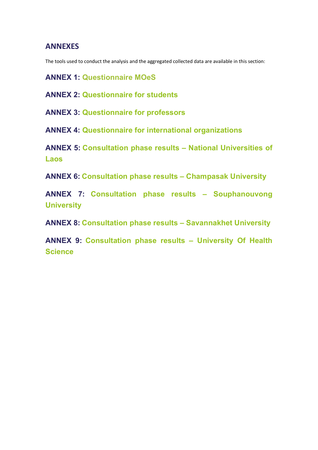## **ANNEXES**

The tools used to conduct the analysis and the aggregated collected data are available in this section:

**ANNEX 1: Questionnaire MOeS**

**ANNEX 2: Questionnaire for students** 

**ANNEX 3: Questionnaire for professors**

**ANNEX 4: Questionnaire for international organizations**

**ANNEX 5: Consultation phase results – National Universities of Laos**

**ANNEX 6: Consultation phase results – Champasak University**

**ANNEX 7: Consultation phase results – Souphanouvong University**

**ANNEX 8: Consultation phase results – Savannakhet University**

**ANNEX 9: Consultation phase results – University Of Health Science**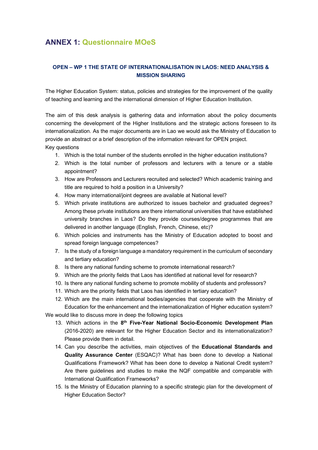# **ANNEX 1: Questionnaire MOeS**

## **OPEN – WP 1 THE STATE OF INTERNATIONALISATION IN LAOS: NEED ANALYSIS & MISSION SHARING**

The Higher Education System: status, policies and strategies for the improvement of the quality of teaching and learning and the international dimension of Higher Education Institution.

The aim of this desk analysis is gathering data and information about the policy documents concerning the development of the Higher Institutions and the strategic actions foreseen to its internationalization. As the major documents are in Lao we would ask the Ministry of Education to provide an abstract or a brief description of the information relevant for OPEN project. Key questions

- 1. Which is the total number of the students enrolled in the higher education institutions?
- 2. Which is the total number of professors and lecturers with a tenure or a stable appointment?
- 3. How are Professors and Lecturers recruited and selected? Which academic training and title are required to hold a position in a University?
- 4. How many international/joint degrees are available at National level?
- 5. Which private institutions are authorized to issues bachelor and graduated degrees? Among these private institutions are there international universities that have established university branches in Laos? Do they provide courses/degree programmes that are delivered in another language (English, French, Chinese, etc)?
- 6. Which policies and instruments has the Ministry of Education adopted to boost and spread foreign language competences?
- 7. Is the study of a foreign language a mandatory requirement in the curriculum of secondary and tertiary education?
- 8. Is there any national funding scheme to promote international research?
- 9. Which are the priority fields that Laos has identified at national level for research?
- 10. Is there any national funding scheme to promote mobility of students and professors?
- 11. Which are the priority fields that Laos has identified in tertiary education?
- 12. Which are the main international bodies/agencies that cooperate with the Ministry of Education for the enhancement and the internationalization of Higher education system?

We would like to discuss more in deep the following topics

- 13. Which actions in the **8th Five-Year National Socio-Economic Development Plan** (2016-2020) are relevant for the Higher Education Sector and its internationalization? Please provide them in detail.
- 14. Can you describe the activities, main objectives of the **Educational Standards and Quality Assurance Center** (ESQAC)? What has been done to develop a National Qualifications Framework? What has been done to develop a National Credit system? Are there guidelines and studies to make the NQF compatible and comparable with International Qualification Frameworks?
- 15. Is the Ministry of Education planning to a specific strategic plan for the development of Higher Education Sector?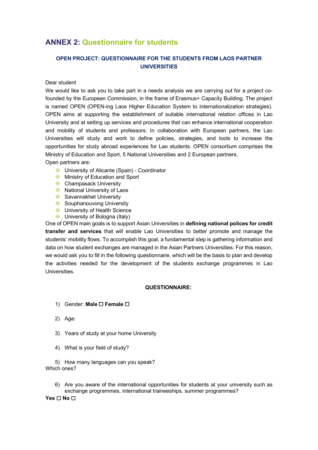## **ANNEX 2: Questionnaire for students**

## **OPEN PROJECT: QUESTIONNAIRE FOR THE STUDENTS FROM LAOS PARTNER UNIVERSITIES**

Dear student

We would like to ask you to take part in a needs analysis we are carrying out for a project cofounded by the European Commission, in the frame of Erasmus+ Capacity Building. The project is named OPEN (OPEN-ing Laos Higher Education System to internationalization strategies). OPEN aims at supporting the establishment of suitable international relation offices in Lao University and at setting up services and procedures that can enhance international cooperation and mobility of students and professors. In collaboration with European partners, the Lao Universities will study and work to define policies, strategies, and tools to increase the opportunities for study abroad experiences for Lao students. OPEN consortium comprises the Ministry of Education and Sport, 5 National Universities and 2 European partners.

Open partners are:

- ♦ University of Alicante (Spain) Coordinator
- $\diamond$  Ministry of Education and Sport
- ♦ Champasack University
- $\Diamond$  National University of Laos
- $\diamondsuit$  Savannakhet University
- ♦ Souphanouvong University
- $\triangle$  University of Health Science
- $\diamondsuit$  University of Bologna (Italy)

One of OPEN main goals is to support Asian Universities in **defining national polices for credit transfer and services** that will enable Lao Universities to better promote and manage the students' mobility flows. To accomplish this goal, a fundamental step is gathering information and data on how student exchanges are managed in the Asian Partners Universities. For this reason, we would ask you to fill in the following questionnaire, which will be the basis to plan and develop the activities needed for the development of the students exchange programmes in Lao Universities.

#### **QUESTIONNAIRE:**

- 1) Gender: Male □ Female □
- 2) Age:
- 3) Years of study at your home University
- 4) What is your field of study?

5) How many languages can you speak? Which ones?

6) Are you aware of the international opportunities for students at your university such as exchange programmes, international traineeships, summer programmes?

**Yes** ☐ **No** ☐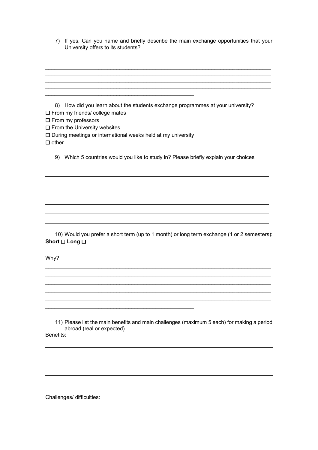| 7) If yes. Can you name and briefly describe the main exchange opportunities that your |
|----------------------------------------------------------------------------------------|
| University offers to its students?                                                     |

| How did you learn about the students exchange programmes at your university?<br>8)<br>□ From my friends/ college mates |
|------------------------------------------------------------------------------------------------------------------------|
| □ From my professors                                                                                                   |
| $\square$ From the University websites                                                                                 |
| $\Box$ During meetings or international weeks held at my university                                                    |
| $\Box$ other                                                                                                           |
| 9) Which 5 countries would you like to study in? Please briefly explain your choices                                   |
|                                                                                                                        |
|                                                                                                                        |
|                                                                                                                        |
|                                                                                                                        |
|                                                                                                                        |
|                                                                                                                        |
|                                                                                                                        |
|                                                                                                                        |
| 10) Would you prefer a short term (up to 1 month) or long term exchange (1 or 2 semesters):<br>Short □ Long □          |
|                                                                                                                        |
| Why?                                                                                                                   |
|                                                                                                                        |
|                                                                                                                        |
|                                                                                                                        |
|                                                                                                                        |
|                                                                                                                        |

11) Please list the main benefits and main challenges (maximum 5 each) for making a period abroad (real or expected) Benefits:

\_\_\_\_\_\_\_\_\_\_\_\_\_\_\_\_\_\_\_\_\_\_\_\_\_\_\_\_\_\_\_\_\_\_\_\_\_\_\_\_\_\_\_\_\_\_\_\_\_\_

Challenges/ difficulties: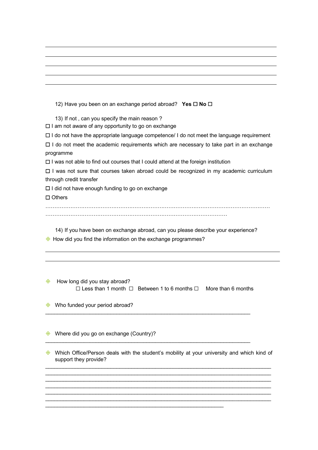| 12) Have you been on an exchange period abroad? Yes $\square$ No $\square$                       |
|--------------------------------------------------------------------------------------------------|
| 13) If not, can you specify the main reason?                                                     |
| $\square$ I am not aware of any opportunity to go on exchange                                    |
| $\Box$ I do not have the appropriate language competence/ I do not meet the language requirement |
| $\Box$ I do not meet the academic requirements which are necessary to take part in an exchange   |
| programme                                                                                        |
| $\Box$ I was not able to find out courses that I could attend at the foreign institution         |
| $\Box$ I was not sure that courses taken abroad could be recognized in my academic curriculum    |
| through credit transfer                                                                          |
| $\Box$ I did not have enough funding to go on exchange                                           |
| $\Box$ Others                                                                                    |
|                                                                                                  |
|                                                                                                  |
| 14) If you have been on exchange abroad, can you please describe your experience?                |
| How did you find the information on the exchange programmes?                                     |

 $\diamond$  How long did you stay abroad? ☐ Less than 1 month ☐ Between 1 to 6 months ☐ More than 6 months

 $\mathcal{L}_\text{max}$  , and the set of the set of the set of the set of the set of the set of the set of the set of the set of

 $\mathcal{L}_\text{max}$  , and the set of the set of the set of the set of the set of the set of the set of the set of the set of

 $\mathcal{L}_\mathcal{L} = \{ \mathcal{L}_\mathcal{L} = \{ \mathcal{L}_\mathcal{L} = \{ \mathcal{L}_\mathcal{L} = \{ \mathcal{L}_\mathcal{L} = \{ \mathcal{L}_\mathcal{L} = \{ \mathcal{L}_\mathcal{L} = \{ \mathcal{L}_\mathcal{L} = \{ \mathcal{L}_\mathcal{L} = \{ \mathcal{L}_\mathcal{L} = \{ \mathcal{L}_\mathcal{L} = \{ \mathcal{L}_\mathcal{L} = \{ \mathcal{L}_\mathcal{L} = \{ \mathcal{L}_\mathcal{L} = \{ \mathcal{L}_\mathcal{$ 

 $\diamond$  Who funded your period abroad?

♦ Where did you go on exchange (Country)?

♦ Which Office/Person deals with the student's mobility at your university and which kind of support they provide? \_\_\_\_\_\_\_\_\_\_\_\_\_\_\_\_\_\_\_\_\_\_\_\_\_\_\_\_\_\_\_\_\_\_\_\_\_\_\_\_\_\_\_\_\_\_\_\_\_\_\_\_\_\_\_\_\_\_\_\_\_\_\_\_\_\_\_\_\_\_\_\_\_\_\_\_

\_\_\_\_\_\_\_\_\_\_\_\_\_\_\_\_\_\_\_\_\_\_\_\_\_\_\_\_\_\_\_\_\_\_\_\_\_\_\_\_\_\_\_\_\_\_\_\_\_\_\_\_\_\_\_\_\_\_\_\_\_\_\_\_\_\_\_\_\_\_\_\_\_\_\_\_ \_\_\_\_\_\_\_\_\_\_\_\_\_\_\_\_\_\_\_\_\_\_\_\_\_\_\_\_\_\_\_\_\_\_\_\_\_\_\_\_\_\_\_\_\_\_\_\_\_\_\_\_\_\_\_\_\_\_\_\_\_\_\_\_\_\_\_\_\_\_\_\_\_\_\_\_

 $\mathcal{L}_\text{max}$ 

\_\_\_\_\_\_\_\_\_\_\_\_\_\_\_\_\_\_\_\_\_\_\_\_\_\_\_\_\_\_\_\_\_\_\_\_\_\_\_\_\_\_\_\_\_\_\_\_\_\_\_\_\_\_\_\_\_\_\_\_\_\_\_\_\_\_\_\_\_\_\_\_\_\_\_\_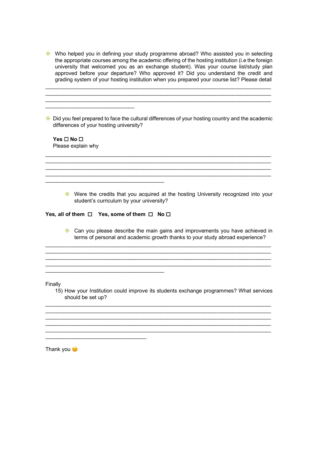$\Diamond$  Who helped you in defining your study programme abroad? Who assisted you in selecting the appropriate courses among the academic offering of the hosting institution (i.e the foreign university that welcomed you as an exchange student). Was your course list/study plan approved before your departure? Who approved it? Did you understand the credit and grading system of your hosting institution when you prepared your course list? Please detail

\_\_\_\_\_\_\_\_\_\_\_\_\_\_\_\_\_\_\_\_\_\_\_\_\_\_\_\_\_\_\_\_\_\_\_\_\_\_\_\_\_\_\_\_\_\_\_\_\_\_\_\_\_\_\_\_\_\_\_\_\_\_\_\_\_\_\_\_\_\_\_\_\_\_\_\_  $\mathcal{L}_\text{max}$  , and the set of the set of the set of the set of the set of the set of the set of the set of the set of  $\mathcal{L}_\text{max}$  , and the set of the set of the set of the set of the set of the set of the set of the set of the set of

 $\diamondsuit$  Did you feel prepared to face the cultural differences of your hosting country and the academic differences of your hosting university?

 $\mathcal{L}_\text{max}$  , and the set of the set of the set of the set of the set of the set of the set of the set of the set of

\_\_\_\_\_\_\_\_\_\_\_\_\_\_\_\_\_\_\_\_\_\_\_\_\_\_\_\_\_\_\_\_\_\_\_\_\_\_\_\_\_\_\_\_\_\_\_\_\_\_\_\_\_\_\_\_\_\_\_\_\_\_\_\_\_\_\_\_\_\_\_\_\_\_\_\_

**Yes** ☐ **No** ☐ Please explain why

 $\mathcal{L}_\text{max}$  , and the set of the set of the set of the set of the set of the set of the set of the set of the set of the set of the set of the set of the set of the set of the set of the set of the set of the set of the

♦ Were the credits that you acquired at the hosting University recognized into your student's curriculum by your university?

**Yes, all of them** ☐ **Yes, some of them** ☐ **No** ☐

 $\mathcal{L}_\mathcal{L}$  , where  $\mathcal{L}_\mathcal{L}$  is the set of the set of the set of the set of the set of the set of the set of the set of the set of the set of the set of the set of the set of the set of the set of the set of the

\_\_\_\_\_\_\_\_\_\_\_\_\_\_\_\_\_\_\_\_\_\_\_\_\_\_\_\_\_\_\_\_\_\_

 $\mathcal{L}_\mathcal{L}$  , where  $\mathcal{L}_\mathcal{L}$  is the set of the set of the set of the set of the set of the set of the set of the set of the set of the set of the set of the set of the set of the set of the set of the set of the

♦ Can you please describe the main gains and improvements you have achieved in terms of personal and academic growth thanks to your study abroad experience?

 $\mathcal{L}_\text{max}$ 

 $\mathcal{L}_\text{max}$  , and the set of the set of the set of the set of the set of the set of the set of the set of the set of

\_\_\_\_\_\_\_\_\_\_\_\_\_\_\_\_\_\_\_\_\_\_\_\_\_\_\_\_\_\_\_\_\_\_\_\_\_\_\_\_\_\_\_\_\_\_\_\_\_\_\_\_\_\_\_\_\_\_\_\_\_\_\_\_\_\_\_\_\_\_\_\_\_\_\_\_  $\mathcal{L}_\text{max}$  , and the set of the set of the set of the set of the set of the set of the set of the set of the set of

Finally

15) How your Institution could improve its students exchange programmes? What services should be set up?

\_\_\_\_\_\_\_\_\_\_\_\_\_\_\_\_\_\_\_\_\_\_\_\_\_\_\_\_\_\_\_\_\_\_\_\_\_\_\_\_\_\_\_\_\_\_\_\_\_\_\_\_\_\_\_\_\_\_\_\_\_\_\_\_\_\_\_\_\_\_\_\_\_\_\_\_  $\mathcal{L}_\text{max}$ 

 $\mathcal{L}_\text{max}$  , and the set of the set of the set of the set of the set of the set of the set of the set of the set of \_\_\_\_\_\_\_\_\_\_\_\_\_\_\_\_\_\_\_\_\_\_\_\_\_\_\_\_\_\_\_\_\_\_\_\_\_\_\_\_\_\_\_\_\_\_\_\_\_\_\_\_\_\_\_\_\_\_\_\_\_\_\_\_\_\_\_\_\_\_\_\_\_\_\_\_

Thank you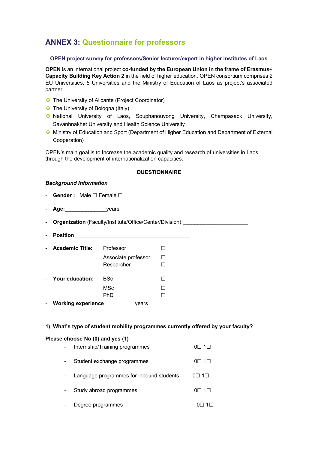# **ANNEX 3: Questionnaire for professors**

#### **OPEN project survey for professors/Senior lecturer/expert in higher institutes of Laos**

**OPEN** is an international project **co-funded by the European Union in the frame of Erasmus+ Capacity Building Key Action 2** in the field of higher education. OPEN consortium comprises 2 EU Universities, 5 Universities and the Ministry of Education of Laos as project's associated partner.

- ♦ The University of Alicante (Project Coordinator)
- $\diamond$  The University of Bologna (Italy)
- ◆ National University of Laos, Souphanouvong University, Champasack University, Savanhnakhet University and Health Science University
- ♦ Ministry of Education and Sport (Department of Higher Education and Department of External Cooperation)

OPEN's main goal is to Increase the academic quality and research of universities in Laos through the development of internationalization capacities.

#### **QUESTIONNAIRE**

#### *Background Information*

- **Gender :** Male ☐ Female ☐
- **Age:** vears

- **Organization** (Faculty/Institute/Office/Center/Division) \_\_\_\_\_\_\_\_\_\_\_\_\_\_\_\_\_\_\_\_\_\_

- **Position**\_\_\_\_\_\_\_\_\_\_\_\_\_\_\_\_\_\_\_\_\_\_\_\_\_\_\_\_\_\_\_\_\_\_\_\_\_\_\_

|                            | <b>Academic Title:</b>    | Professor           |  |
|----------------------------|---------------------------|---------------------|--|
|                            |                           | Associate professor |  |
|                            |                           | Researcher          |  |
| $\mathcal{L}_{\text{max}}$ | Your education:           | BSc                 |  |
|                            |                           | <b>MSc</b>          |  |
|                            |                           | PhD                 |  |
|                            | <b>Working experience</b> | ears                |  |

#### **1) What's type of student mobility programmes currently offered by your faculty?**

#### **Please choose No (0) and yes (1)**

| Internship/Training programmes           | $0\square$ 1 $\square$ |
|------------------------------------------|------------------------|
| Student exchange programmes              | $0\square$ 1 $\square$ |
| Language programmes for inbound students | $0\square$ 1 $\square$ |
| Study abroad programmes                  | $0\square$ 1 $\square$ |
| Degree programmes                        |                        |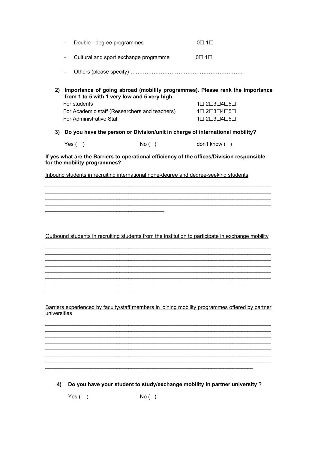| Double - degree programmes | $0\square$ 1 $\square$ |
|----------------------------|------------------------|

- Cultural and sport exchange programme 0☐ 1☐

- Others (please specify) ………………………………………………………

**2) Importance of going abroad (mobility programmes). Please rank the importance from 1 to 5 with 1 very low and 5 very high.** For students 1 $\Box$ 5 $\Box$ 5 $\Box$ 1 $\Box$ 2 $\Box$ 3 $\Box$ 4 $\Box$ 5 $\Box$ 

| For Academic staff (Researchers and teachers) | $1 \square 2 \square 3 \square 4 \square 5 \square$ |
|-----------------------------------------------|-----------------------------------------------------|
| <b>For Administrative Staff</b>               | $1 \square 2 \square 3 \square 4 \square 5 \square$ |

**3) Do you have the person or Division/unit in charge of international mobility?**

| Yes (<br>No ( | don't know ( |
|---------------|--------------|
|---------------|--------------|

**If yes what are the Barriers to operational efficiency of the offices/Division responsible for the mobility programmes?** 

 $\mathcal{L}_\text{max}$  , and the set of the set of the set of the set of the set of the set of the set of the set of the set of

 $\mathcal{L}_\text{max}$ \_\_\_\_\_\_\_\_\_\_\_\_\_\_\_\_\_\_\_\_\_\_\_\_\_\_\_\_\_\_\_\_\_\_\_\_\_\_\_\_\_\_\_\_\_\_\_\_\_\_\_\_\_\_\_\_\_\_\_\_\_\_\_\_\_\_\_\_\_\_\_\_\_\_\_\_

Inbound students in recruiting international none-degree and degree-seeking students

Outbound students in recruiting students from the institution to participate in exchange mobility \_\_\_\_\_\_\_\_\_\_\_\_\_\_\_\_\_\_\_\_\_\_\_\_\_\_\_\_\_\_\_\_\_\_\_\_\_\_\_\_\_\_\_\_\_\_\_\_\_\_\_\_\_\_\_\_\_\_\_\_\_\_\_\_\_\_\_\_\_\_\_\_\_\_\_\_

 $\mathcal{L}_\text{max}$  , and the set of the set of the set of the set of the set of the set of the set of the set of the set of

\_\_\_\_\_\_\_\_\_\_\_\_\_\_\_\_\_\_\_\_\_\_\_\_\_\_\_\_\_\_\_\_\_\_\_\_\_\_\_\_\_\_\_\_\_\_\_\_\_\_\_\_\_\_\_\_\_\_\_\_\_\_\_\_\_\_\_\_\_\_\_\_\_\_\_\_

\_\_\_\_\_\_\_\_\_\_\_\_\_\_\_\_\_\_\_\_\_\_\_\_\_\_\_\_\_\_\_\_\_\_\_\_\_\_\_\_\_\_\_\_\_\_\_\_\_\_\_\_\_\_\_\_\_\_\_\_\_\_\_\_\_\_\_\_\_\_\_\_\_\_\_\_

\_\_\_\_\_\_\_\_\_\_\_\_\_\_\_\_\_\_\_\_\_\_\_\_\_\_\_\_\_\_\_\_\_\_\_\_\_\_\_\_\_\_\_\_\_\_\_\_\_\_\_\_\_\_\_\_\_\_\_\_\_\_\_\_\_\_\_\_\_\_\_\_\_\_\_\_ \_\_\_\_\_\_\_\_\_\_\_\_\_\_\_\_\_\_\_\_\_\_\_\_\_\_\_\_\_\_\_\_\_\_\_\_\_\_\_\_\_\_\_\_\_\_\_\_\_\_\_\_\_\_\_\_\_\_\_\_\_\_\_\_\_\_\_\_\_\_\_\_\_\_\_\_

\_\_\_\_\_\_\_\_\_\_\_\_\_\_\_\_\_\_\_\_\_\_\_\_\_\_\_\_\_\_\_\_\_\_\_\_\_\_\_\_\_\_\_\_\_\_\_\_\_\_\_\_\_\_\_\_\_\_\_\_\_\_\_\_\_\_\_\_\_\_\_\_\_\_\_\_

Barriers experienced by faculty/staff members in joining mobility programmes offered by partner universities

\_\_\_\_\_\_\_\_\_\_\_\_\_\_\_\_\_\_\_\_\_\_\_\_\_\_\_\_\_\_\_\_\_\_\_\_\_\_\_\_\_\_\_\_\_\_\_\_\_\_\_\_\_\_\_\_\_\_\_\_\_\_\_\_\_\_\_\_\_\_\_\_\_\_\_\_ \_\_\_\_\_\_\_\_\_\_\_\_\_\_\_\_\_\_\_\_\_\_\_\_\_\_\_\_\_\_\_\_\_\_\_\_\_\_\_\_\_\_\_\_\_\_\_\_\_\_\_\_\_\_\_\_\_\_\_\_\_\_\_\_\_\_\_\_\_\_\_\_\_\_\_\_  $\mathcal{L}_\text{max}$  , and the set of the set of the set of the set of the set of the set of the set of the set of the set of

\_\_\_\_\_\_\_\_\_\_\_\_\_\_\_\_\_\_\_\_\_\_\_\_\_\_\_\_\_\_\_\_\_\_\_\_\_\_\_\_\_\_\_\_\_\_\_\_\_\_\_\_\_\_\_\_\_\_\_\_\_\_\_\_\_\_\_\_\_\_\_\_\_\_\_\_ \_\_\_\_\_\_\_\_\_\_\_\_\_\_\_\_\_\_\_\_\_\_\_\_\_\_\_\_\_\_\_\_\_\_\_\_\_\_\_\_\_\_\_\_\_\_\_\_\_\_\_\_\_\_\_\_\_\_\_\_\_\_\_\_\_\_\_\_\_\_\_\_\_\_\_\_

 $\mathcal{L}_\text{max}$  $\mathcal{L}_\mathcal{L} = \{ \mathcal{L}_\mathcal{L} = \{ \mathcal{L}_\mathcal{L} = \{ \mathcal{L}_\mathcal{L} = \{ \mathcal{L}_\mathcal{L} = \{ \mathcal{L}_\mathcal{L} = \{ \mathcal{L}_\mathcal{L} = \{ \mathcal{L}_\mathcal{L} = \{ \mathcal{L}_\mathcal{L} = \{ \mathcal{L}_\mathcal{L} = \{ \mathcal{L}_\mathcal{L} = \{ \mathcal{L}_\mathcal{L} = \{ \mathcal{L}_\mathcal{L} = \{ \mathcal{L}_\mathcal{L} = \{ \mathcal{L}_\mathcal{$ 

\_\_\_\_\_\_\_\_\_\_\_\_\_\_\_\_\_\_\_\_\_\_\_\_\_\_\_\_\_\_\_\_\_\_\_\_\_\_\_\_\_\_\_\_\_\_\_\_\_\_\_\_\_\_\_\_\_\_\_\_\_\_\_\_\_\_\_\_\_\_

**4) Do you have your student to study/exchange mobility in partner university ?**

 $Yes( )$  No ( )

 $\mathcal{L}_\mathcal{L}$  , where  $\mathcal{L}_\mathcal{L}$  is the set of the set of the set of the set of the set of the set of the set of the set of the set of the set of the set of the set of the set of the set of the set of the set of the

 $\mathcal{L}_\text{max}$  , and the set of the set of the set of the set of the set of the set of the set of the set of the set of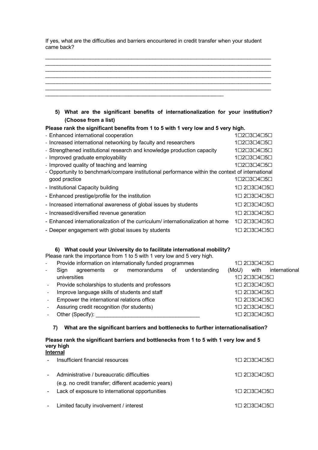If yes, what are the difficulties and barriers encountered in credit transfer when your student came back?

**5) What are the significant benefits of internationalization for your institution? (Choose from a list)** 

**Please rank the significant benefits from 1 to 5 with 1 very low and 5 very high.**

| - Enhanced international cooperation                                                             | 1□2□3□4□5□  |
|--------------------------------------------------------------------------------------------------|-------------|
| - Increased international networking by faculty and researchers                                  | 1□2□3□4□5□  |
| - Strengthened institutional research and knowledge production capacity                          | 1□2□3□4□5□  |
| - Improved graduate employability                                                                | 1□2□3□4□5□  |
| - Improved quality of teaching and learning                                                      | 1□2□3□4□5□  |
| - Opportunity to benchmark/compare institutional performance within the context of international |             |
| good practice                                                                                    | 1□2□3□4□5□  |
| - Institutional Capacity building                                                                | 1□ 2□3□4□5□ |
| - Enhanced prestige/profile for the institution                                                  | 1□ 2□3□4□5□ |
| - Increased international awareness of global issues by students                                 | 1□ 2□3□4□5□ |
| - Increased/diversified revenue generation                                                       | 1□ 2□3□4□5□ |
| - Enhanced internationalization of the curriculum/ internationalization at home                  | 1□ 2□3□4□5□ |
| - Deeper engagement with global issues by students                                               | 1□ 2□3□4□5□ |

## **6) What could your University do to facilitate international mobility?**

Please rank the importance from 1 to 5 with 1 very low and 5 very high.

| $\overline{\phantom{a}}$ |                                                                | Provide information on internationally funded programmes |  |                                            |  | 1□ 2□3□4□5□ |       |                                                     |               |  |
|--------------------------|----------------------------------------------------------------|----------------------------------------------------------|--|--------------------------------------------|--|-------------|-------|-----------------------------------------------------|---------------|--|
| $\overline{\phantom{a}}$ | Sign                                                           |                                                          |  | agreements or memorandums of understanding |  |             | (MoU) | with                                                | international |  |
|                          | universities                                                   |                                                          |  |                                            |  |             |       | 1□ 2□3□4□5□                                         |               |  |
| $\omega_{\rm{max}}$      | Provide scholarships to students and professors<br>1□ 2□3□4□5□ |                                                          |  |                                            |  |             |       |                                                     |               |  |
|                          | Improve language skills of students and staff<br>1□ 2□3□4□5□   |                                                          |  |                                            |  |             |       |                                                     |               |  |
| $\omega_{\rm{max}}$      | Empower the international relations office<br>1□ 2□3□4□5□      |                                                          |  |                                            |  |             |       |                                                     |               |  |
| $\omega_{\rm{max}}$      |                                                                | Assuring credit recognition (for students)               |  |                                            |  |             |       | $1 \square 2 \square 3 \square 4 \square 5 \square$ |               |  |
|                          |                                                                | Other (Specify):                                         |  |                                            |  |             |       | 1□ 2□3□4□5□                                         |               |  |

### **7) What are the significant barriers and bottlenecks to further internationalisation?**

#### **Please rank the significant barriers and bottlenecks from 1 to 5 with 1 very low and 5 very high Internal**

| $\blacksquare$ | Insufficient financial resources                    | $1 \square 2 \square 3 \square 4 \square 5 \square$ |
|----------------|-----------------------------------------------------|-----------------------------------------------------|
|                | - Administrative / bureaucratic difficulties        | $1 \square 2 \square 3 \square 4 \square 5 \square$ |
|                | (e.g. no credit transfer; different academic years) |                                                     |
|                | - Lack of exposure to international opportunities   | 1□ 2□3□4□5□                                         |
|                | - Limited faculty involvement / interest            | 1□ 2□3□4□5□                                         |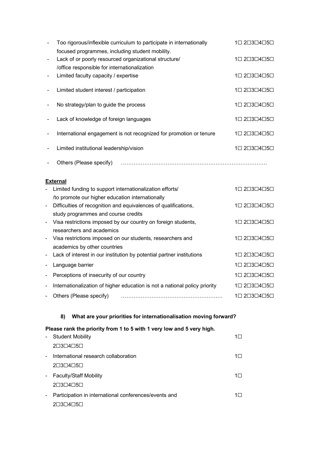|                          | Too rigorous/inflexible curriculum to participate in internationally | 1□ 2□3□4□5□                                         |
|--------------------------|----------------------------------------------------------------------|-----------------------------------------------------|
|                          | focused programmes, including student mobility.                      |                                                     |
| $\blacksquare$           | Lack of or poorly resourced organizational structure/                | $1 \square 2 \square 3 \square 4 \square 5 \square$ |
|                          | /office responsible for internationalization                         |                                                     |
|                          | Limited faculty capacity / expertise                                 | $1 \square 2 \square 3 \square 4 \square 5 \square$ |
| $\overline{\phantom{a}}$ | Limited student interest / participation                             | 1□ 2□3□4□5□                                         |
|                          | No strategy/plan to guide the process                                | 1□ 2□3□4□5□                                         |
|                          | Lack of knowledge of foreign languages                               | 1□ 2□3□4□5□                                         |
|                          | International engagement is not recognized for promotion or tenure   | 1□ 2□3□4□5□                                         |
|                          | Limited institutional leadership/vision                              | 1□ 2□3□4□5□                                         |
|                          | Others (Please specify)                                              |                                                     |

## **External**

| $\overline{\phantom{a}}$ | Limited funding to support internationalization efforts/                   | 1□ 2□3□4□5□ |
|--------------------------|----------------------------------------------------------------------------|-------------|
|                          | /to promote our higher education internationally                           |             |
| $\sim$                   | Difficulties of recognition and equivalences of qualifications,            | 1□ 2□3□4□5□ |
|                          | study programmes and course credits                                        |             |
| $\blacksquare$           | Visa restrictions imposed by our country on foreign students,              | 1□ 2□3□4□5□ |
|                          | researchers and academics                                                  |             |
| $\blacksquare$           | Visa restrictions imposed on our students, researchers and                 | 1□ 2□3□4□5□ |
|                          | academics by other countries                                               |             |
|                          | Lack of interest in our institution by potential partner institutions      | 1□ 2□3□4□5□ |
| $\overline{\phantom{a}}$ | Language barrier                                                           | 1□ 2□3□4□5□ |
|                          | Perceptions of insecurity of our country                                   | 1□ 2□3□4□5□ |
|                          | Internationalization of higher education is not a national policy priority | 1□ 2□3□4□5□ |
|                          | Others (Please specify)                                                    | 1□ 2□3□4□5□ |

## **8) What are your priorities for internationalisation moving forward?**

## **Please rank the priority from 1 to 5 with 1 very low and 5 very high.**

| $\sim$ | <b>Student Mobility</b>                                 |         |
|--------|---------------------------------------------------------|---------|
|        | $2\square 3\square 4\square 5\square$                   |         |
| $\sim$ | International research collaboration                    | $1\Box$ |
|        | $2\square 3\square 4\square 5\square$                   |         |
|        | - Faculty/Staff Mobility                                | $1\Box$ |
|        | $2\square 3\square 4\square 5\square$                   |         |
|        | - Participation in international conferences/events and | $1\Box$ |
|        |                                                         |         |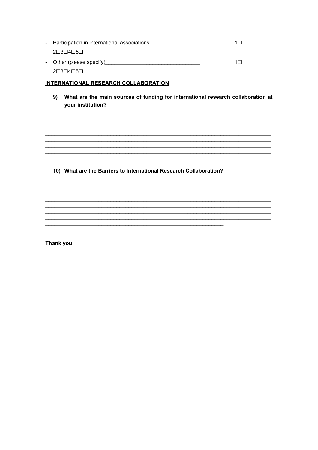- Participation in international associations  $1\Box$  $2\Box 3\Box 4\Box 5\Box$ - Other (please specify)<br>
<u>Discussions</u>  $1\square$ 2□3□4□5□

### INTERNATIONAL RESEARCH COLLABORATION

9) What are the main sources of funding for international research collaboration at your institution?

> <u> 1989 - Johann Stoff, deutscher Stoff, der Stoff, der Stoff, der Stoff, der Stoff, der Stoff, der Stoff, der S</u>

10) What are the Barriers to International Research Collaboration?

<u> 1980 - Johann John Stone, markin film yn y brening yn y brening yn y brening yn y brening yn y brening yn y b</u>

Thank you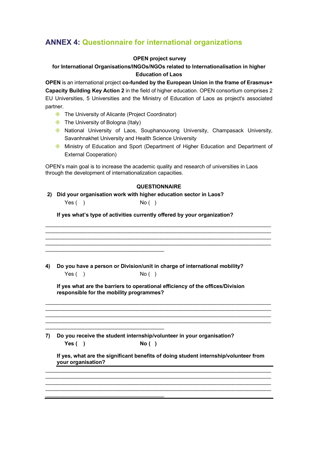# **ANNEX 4: Questionnaire for international organizations**

#### **OPEN project survey**

## **for International Organisations/INGOs/NGOs related to Internationalisation in higher Education of Laos**

**OPEN** is an international project **co-funded by the European Union in the frame of Erasmus+ Capacity Building Key Action 2** in the field of higher education. OPEN consortium comprises 2 EU Universities, 5 Universities and the Ministry of Education of Laos as project's associated partner.

- ♦ The University of Alicante (Project Coordinator)
- $\diamond$  The University of Bologna (Italy)

\_\_\_\_\_\_\_\_\_\_\_\_\_\_\_\_\_\_\_\_\_\_\_\_\_\_\_\_\_\_\_\_\_\_\_\_\_\_\_\_

\_\_\_\_\_\_\_\_\_\_\_\_\_\_\_\_\_\_\_\_\_\_\_\_\_\_\_\_\_\_\_\_\_\_\_\_\_\_\_\_

\_\_\_\_\_\_\_\_\_\_\_\_\_\_\_\_\_\_\_\_\_\_\_\_\_\_\_\_\_\_\_\_\_\_\_\_\_\_\_\_

- $\Diamond$  National University of Laos, Souphanouvong University, Champasack University, Savanhnakhet University and Health Science University
- ♦ Ministry of Education and Sport (Department of Higher Education and Department of External Cooperation)

OPEN's main goal is to increase the academic quality and research of universities in Laos through the development of internationalization capacities.

#### **QUESTIONNAIRE**

\_\_\_\_\_\_\_\_\_\_\_\_\_\_\_\_\_\_\_\_\_\_\_\_\_\_\_\_\_\_\_\_\_\_\_\_\_\_\_\_\_\_\_\_\_\_\_\_\_\_\_\_\_\_\_\_\_\_\_\_\_\_\_\_\_\_\_\_\_\_\_\_\_\_\_\_  $\mathcal{L}_\text{max}$  , and the set of the set of the set of the set of the set of the set of the set of the set of the set of \_\_\_\_\_\_\_\_\_\_\_\_\_\_\_\_\_\_\_\_\_\_\_\_\_\_\_\_\_\_\_\_\_\_\_\_\_\_\_\_\_\_\_\_\_\_\_\_\_\_\_\_\_\_\_\_\_\_\_\_\_\_\_\_\_\_\_\_\_\_\_\_\_\_\_\_ \_\_\_\_\_\_\_\_\_\_\_\_\_\_\_\_\_\_\_\_\_\_\_\_\_\_\_\_\_\_\_\_\_\_\_\_\_\_\_\_\_\_\_\_\_\_\_\_\_\_\_\_\_\_\_\_\_\_\_\_\_\_\_\_\_\_\_\_\_\_\_\_\_\_\_\_

#### **2) Did your organisation work with higher education sector in Laos?**

 $Yes( )$  No ( )

**If yes what's type of activities currently offered by your organization?** 

**4) Do you have a person or Division/unit in charge of international mobility?**  $Yes( )$  No ( )

**If yes what are the barriers to operational efficiency of the offices/Division responsible for the mobility programmes?** 

\_\_\_\_\_\_\_\_\_\_\_\_\_\_\_\_\_\_\_\_\_\_\_\_\_\_\_\_\_\_\_\_\_\_\_\_\_\_\_\_\_\_\_\_\_\_\_\_\_\_\_\_\_\_\_\_\_\_\_\_\_\_\_\_\_\_\_\_\_\_\_\_\_\_\_\_  $\mathcal{L}_\text{max}$  , and the set of the set of the set of the set of the set of the set of the set of the set of the set of  $\mathcal{L}_\text{max}$  , and the set of the set of the set of the set of the set of the set of the set of the set of the set of  $\mathcal{L}_\text{max}$  , and the set of the set of the set of the set of the set of the set of the set of the set of the set of

**7) Do you receive the student internship/volunteer in your organisation? Yes ( ) No ( )**

**If yes, what are the significant benefits of doing student internship/volunteer from your organisation?**

 $\mathcal{L}_\text{max}$  , and the set of the set of the set of the set of the set of the set of the set of the set of the set of  $\mathcal{L}_\text{max}$  , and the set of the set of the set of the set of the set of the set of the set of the set of the set of \_\_\_\_\_\_\_\_\_\_\_\_\_\_\_\_\_\_\_\_\_\_\_\_\_\_\_\_\_\_\_\_\_\_\_\_\_\_\_\_\_\_\_\_\_\_\_\_\_\_\_\_\_\_\_\_\_\_\_\_\_\_\_\_\_\_\_\_\_\_\_\_\_\_\_\_ \_\_\_\_\_\_\_\_\_\_\_\_\_\_\_\_\_\_\_\_\_\_\_\_\_\_\_\_\_\_\_\_\_\_\_\_\_\_\_\_\_\_\_\_\_\_\_\_\_\_\_\_\_\_\_\_\_\_\_\_\_\_\_\_\_\_\_\_\_\_\_\_\_\_\_\_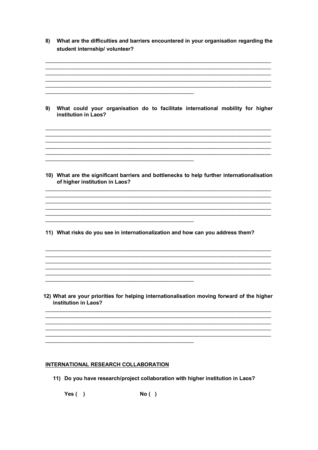| What are the difficulties and barriers encountered in your organisation regarding the<br>student internship/ volunteer?      |
|------------------------------------------------------------------------------------------------------------------------------|
| What could your organisation do to facilitate international mobility for higher<br>institution in Laos?                      |
| 10) What are the significant barriers and bottlenecks to help further internationalisation<br>of higher institution in Laos? |
| 11) What risks do you see in internationalization and how can you address them?                                              |
| 12) What are your priorities for helping internationalisation moving forward of the higher<br>institution in Laos?           |
|                                                                                                                              |

## **INTERNATIONAL RESEARCH COLLABORATION**

11) Do you have research/project collaboration with higher institution in Laos?

Yes $( )$  $No()$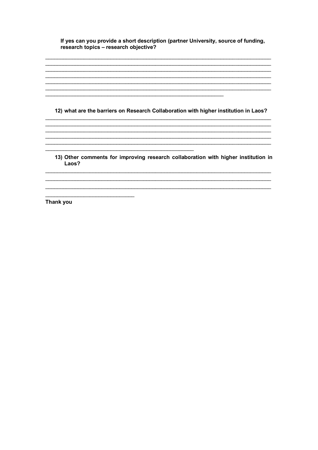If yes can you provide a short description (partner University, source of funding, research topics - research objective?

12) what are the barriers on Research Collaboration with higher institution in Laos?

<u> 1989 - Johann Barbara, martxa alemaniar arg</u>

,我们也不能在这里的人,我们也不能在这里的人,我们也不能在这里的人,我们也不能在这里的人,我们也不能在这里的人,我们也不能在这里的人,我们也不能在这里的人,我们也 

13) Other comments for improving research collaboration with higher institution in Laos?

<u> 1989 - Johann John Barn, mars eta inperiodoren eta inperiodoren eta inperiodoren eta inperiodoren eta inperio</u>

Thank you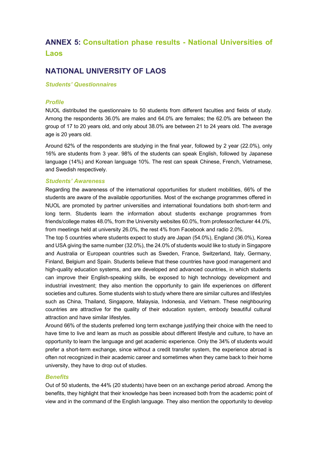# **ANNEX 5: Consultation phase results - National Universities of Laos**

## **NATIONAL UNIVERSITY OF LAOS**

#### *Students' Questionnaires*

#### *Profile*

NUOL distributed the questionnaire to 50 students from different faculties and fields of study. Among the respondents 36.0% are males and 64.0% are females; the 62.0% are between the group of 17 to 20 years old, and only about 38.0% are between 21 to 24 years old. The average age is 20 years old.

Around 62% of the respondents are studying in the final year, followed by 2 year (22.0%), only 16% are students from 3 year. 98% of the students can speak English, followed by Japanese language (14%) and Korean language 10%. The rest can speak Chinese, French, Vietnamese, and Swedish respectively.

#### *Students' Awareness*

Regarding the awareness of the international opportunities for student mobilities, 66% of the students are aware of the available opportunities. Most of the exchange programmes offered in NUOL are promoted by partner universities and international foundations both short-term and long term. Students learn the information about students exchange programmes from friends/college mates 48.0%, from the University websites 60.0%, from professor/lecturer 44.0%, from meetings held at university 26.0%, the rest 4% from Facebook and radio 2.0%.

The top 5 countries where students expect to study are Japan (54.0%), England (36.0%), Korea and USA giving the same number (32.0%), the 24.0% of students would like to study in Singapore and Australia or European countries such as Sweden, France, Switzerland, Italy, Germany, Finland, Belgium and Spain. Students believe that these countries have good management and high-quality education systems, and are developed and advanced countries, in which students can improve their English-speaking skills, be exposed to high technology development and industrial investment; they also mention the opportunity to gain life experiences on different societies and cultures. Some students wish to study where there are similar cultures and lifestyles such as China, Thailand, Singapore, Malaysia, Indonesia, and Vietnam. These neighbouring countries are attractive for the quality of their education system, embody beautiful cultural attraction and have similar lifestyles.

Around 66% of the students preferred long term exchange justifying their choice with the need to have time to live and learn as much as possible about different lifestyle and culture, to have an opportunity to learn the language and get academic experience. Only the 34% of students would prefer a short-term exchange, since without a credit transfer system, the experience abroad is often not recognized in their academic career and sometimes when they came back to their home university, they have to drop out of studies.

#### *Benefits*

Out of 50 students, the 44% (20 students) have been on an exchange period abroad. Among the benefits, they highlight that their knowledge has been increased both from the academic point of view and in the command of the English language. They also mention the opportunity to develop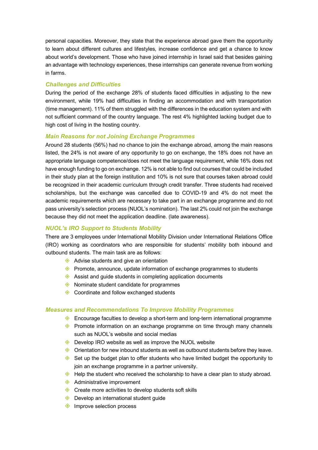personal capacities. Moreover, they state that the experience abroad gave them the opportunity to learn about different cultures and lifestyles, increase confidence and get a chance to know about world's development. Those who have joined internship in Israel said that besides gaining an advantage with technology experiences, these internships can generate revenue from working in farms.

## *Challenges and Difficulties*

During the period of the exchange 28% of students faced difficulties in adjusting to the new environment, while 19% had difficulties in finding an accommodation and with transportation (time management). 11% of them struggled with the differences in the education system and with not sufficient command of the country language. The rest 4% highlighted lacking budget due to high cost of living in the hosting country.

### *Main Reasons for not Joining Exchange Programmes*

Around 28 students (56%) had no chance to join the exchange abroad, among the main reasons listed, the 24% is not aware of any opportunity to go on exchange, the 18% does not have an appropriate language competence/does not meet the language requirement, while 16% does not have enough funding to go on exchange. 12% is not able to find out courses that could be included in their study plan at the foreign institution and 10% is not sure that courses taken abroad could be recognized in their academic curriculum through credit transfer. Three students had received scholarships, but the exchange was cancelled due to COVID-19 and 4% do not meet the academic requirements which are necessary to take part in an exchange programme and do not pass university's selection process (NUOL's nomination). The last 2% could not join the exchange because they did not meet the application deadline. (late awareness).

## *NUOL's IRO Support to Students Mobility*

There are 3 employees under International Mobility Division under International Relations Office (IRO) working as coordinators who are responsible for students' mobility both inbound and outbound students. The main task are as follows:

- $\diamondsuit$  Advise students and give an orientation
- $\diamondsuit$  Promote, announce, update information of exchange programmes to students
- $\diamondsuit$  Assist and guide students in completing application documents
- $\diamondsuit$  Nominate student candidate for programmes
- $\diamondsuit$  Coordinate and follow exchanged students

#### *Measures and Recommendations To Improve Mobility Programmes*

- ♦ Encourage faculties to develop a short-term and long-term international programme
- $\Diamond$  Promote information on an exchange programme on time through many channels such as NUOL's website and social medias
- $\Diamond$  Develop IRO website as well as improve the NUOL website
- $\diamondsuit$  Orientation for new inbound students as well as outbound students before they leave.
- $\diamondsuit$  Set up the budget plan to offer students who have limited budget the opportunity to join an exchange programme in a partner university.
- $\Diamond$  Help the student who received the scholarship to have a clear plan to study abroad.
- $\triangle$  Administrative improvement
- $\Diamond$  Create more activities to develop students soft skills
- $\diamondsuit$  Develop an international student guide
- $\diamondsuit$  Improve selection process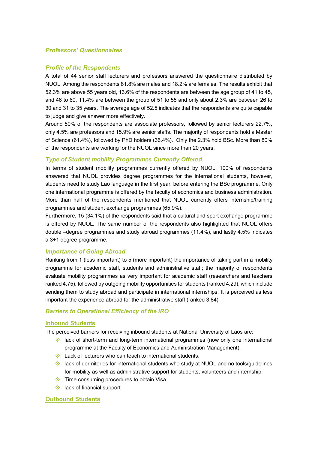#### *Professors' Questionnaires*

#### *Profile of the Respondents*

A total of 44 senior staff lecturers and professors answered the questionnaire distributed by NUOL. Among the respondents 81.8% are males and 18.2% are females. The results exhibit that 52.3% are above 55 years old, 13.6% of the respondents are between the age group of 41 to 45, and 46 to 60, 11.4% are between the group of 51 to 55 and only about 2.3% are between 26 to 30 and 31 to 35 years. The average age of 52.5 indicates that the respondents are quite capable to judge and give answer more effectively.

Around 50% of the respondents are associate professors, followed by senior lecturers 22.7%, only 4.5% are professors and 15.9% are senior staffs. The majority of respondents hold a Master of Science (61.4%), followed by PhD holders (36.4%). Only the 2.3% hold BSc. More than 80% of the respondents are working for the NUOL since more than 20 years.

#### *Type of Student mobility Programmes Currently Offered*

In terms of student mobility programmes currently offered by NUOL, 100% of respondents answered that NUOL provides degree programmes for the international students, however, students need to study Lao language in the first year, before entering the BSc programme. Only one international programme is offered by the faculty of economics and business administration. More than half of the respondents mentioned that NUOL currently offers internship/training programmes and student exchange programmes (65.9%).

Furthermore, 15 (34.1%) of the respondents said that a cultural and sport exchange programme is offered by NUOL. The same number of the respondents also highlighted that NUOL offers double –degree programmes and study abroad programmes (11.4%), and lastly 4.5% indicates a 3+1 degree programme.

#### *Importance of Going Abroad*

Ranking from 1 (less important) to 5 (more important) the importance of taking part in a mobility programme for academic staff, students and administrative staff; the majority of respondents evaluate mobility programmes as very important for academic staff (researchers and teachers ranked 4.75), followed by outgoing mobility opportunities for students (ranked 4.29), which include sending them to study abroad and participate in international internships. It is perceived as less important the experience abroad for the administrative staff (ranked 3.84)

#### *Barriers to Operational Efficiency of the IRO*

#### **Inbound Students**

The perceived barriers for receiving inbound students at National University of Laos are:

- $\Diamond$  lack of short-term and long-term international programmes (now only one international programme at the Faculty of Economics and Administration Management),
- $\Diamond$  Lack of lecturers who can teach to international students.
- $\Diamond$  lack of dormitories for international students who study at NUOL and no tools/guidelines for mobility as well as administrative support for students, volunteers and internship;
- $\Diamond$  Time consuming procedures to obtain Visa
- $\triangle$  lack of financial support

#### **Outbound Students**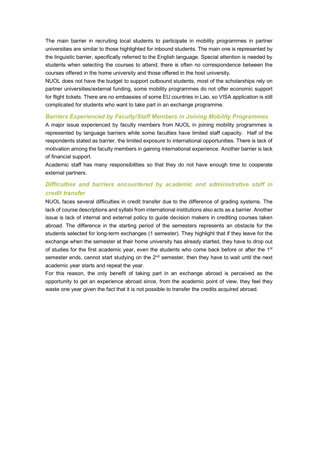The main barrier in recruiting local students to participate in mobility programmes in partner universities are similar to those highlighted for inbound students. The main one is represented by the linguistic barrier, specifically referred to the English language. Special attention is needed by students when selecting the courses to attend; there is often no correspondence between the courses offered in the home university and those offered in the host university.

NUOL does not have the budget to support outbound students, most of the scholarships rely on partner universities/external funding, some mobility programmes do not offer economic support for flight tickets. There are no embassies of some EU countries in Lao, so VISA application is still complicated for students who want to take part in an exchange programme.

### *Barriers Experienced by Faculty/Staff Members in Joining Mobility Programmes*

A major issue experienced by faculty members from NUOL in joining mobility programmes is represented by language barriers while some faculties have limited staff capacity. Half of the respondents stated as barrier, the limited exposure to international opportunities. There is lack of motivation among the faculty members in gaining international experience. Another barrier is lack of financial support.

Academic staff has many responsibilities so that they do not have enough time to cooperate external partners.

## *Difficulties and barriers encountered by academic and administrative staff in credit transfer*

NUOL faces several difficulties in credit transfer due to the difference of grading systems. The lack of course descriptions and syllabi from international institutions also acts as a barrier. Another issue is lack of internal and external policy to guide decision makers in crediting courses taken abroad. The difference in the starting period of the semesters represents an obstacle for the students selected for long-term exchanges (1 semester). They highlight that if they leave for the exchange when the semester at their home university has already started, they have to drop out of studies for the first academic year, even the students who come back before or after the  $1<sup>st</sup>$ semester ends, cannot start studying on the  $2<sup>nd</sup>$  semester, then they have to wait until the next academic year starts and repeat the year.

For this reason, the only benefit of taking part in an exchange abroad is perceived as the opportunity to get an experience abroad since, from the academic point of view, they feel they waste one year given the fact that it is not possible to transfer the credits acquired abroad.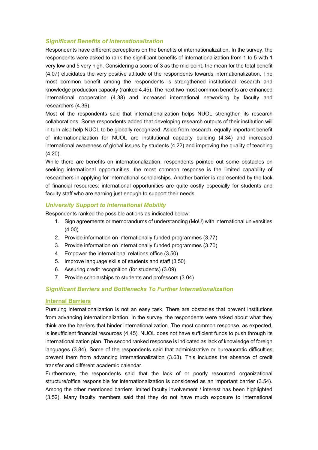## *Significant Benefits of Internationalization*

Respondents have different perceptions on the benefits of internationalization. In the survey, the respondents were asked to rank the significant benefits of internationalization from 1 to 5 with 1 very low and 5 very high. Considering a score of 3 as the mid-point, the mean for the total benefit (4.07) elucidates the very positive attitude of the respondents towards internationalization. The most common benefit among the respondents is strengthened institutional research and knowledge production capacity (ranked 4.45). The next two most common benefits are enhanced international cooperation (4.38) and increased international networking by faculty and researchers (4.36).

Most of the respondents said that internationalization helps NUOL strengthen its research collaborations. Some respondents added that developing research outputs of their institution will in turn also help NUOL to be globally recognized. Aside from research, equally important benefit of internationalization for NUOL are institutional capacity building (4.34) and increased international awareness of global issues by students (4.22) and improving the quality of teaching (4.20).

While there are benefits on internationalization, respondents pointed out some obstacles on seeking international opportunities, the most common response is the limited capability of researchers in applying for international scholarships. Another barrier is represented by the lack of financial resources: international opportunities are quite costly especially for students and faculty staff who are earning just enough to support their needs.

#### *University Support to International Mobility*

Respondents ranked the possible actions as indicated below:

- 1. Sign agreements or memorandums of understanding (MoU) with international universities (4.00)
- 2. Provide information on internationally funded programmes (3.77)
- 3. Provide information on internationally funded programmes (3.70)
- 4. Empower the international relations office (3.50)
- 5. Improve language skills of students and staff (3.50)
- 6. Assuring credit recognition (for students) (3.09)
- 7. Provide scholarships to students and professors (3.04)

## *Significant Barriers and Bottlenecks To Further Internationalization*

#### **Internal Barriers**

Pursuing internationalization is not an easy task. There are obstacles that prevent institutions from advancing internationalization. In the survey, the respondents were asked about what they think are the barriers that hinder internationalization. The most common response, as expected, is insufficient financial resources (4.45). NUOL does not have sufficient funds to push through its internationalization plan. The second ranked response is indicated as lack of knowledge of foreign languages (3.84). Some of the respondents said that administrative or bureaucratic difficulties prevent them from advancing internationalization (3.63). This includes the absence of credit transfer and different academic calendar.

Furthermore, the respondents said that the lack of or poorly resourced organizational structure/office responsible for internationalization is considered as an important barrier (3.54). Among the other mentioned barriers limited faculty involvement / interest has been highlighted (3.52). Many faculty members said that they do not have much exposure to international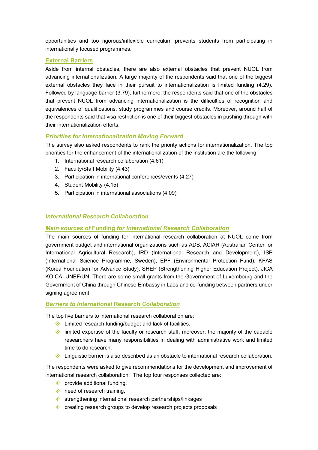opportunities and too rigorous/inflexible curriculum prevents students from participating in internationally focused programmes.

## **External Barriers**

Aside from internal obstacles, there are also external obstacles that prevent NUOL from advancing internationalization. A large majority of the respondents said that one of the biggest external obstacles they face in their pursuit to internationalization is limited funding (4.29). Followed by language barrier (3.79), furthermore, the respondents said that one of the obstacles that prevent NUOL from advancing internationalization is the difficulties of recognition and equivalences of qualifications, study programmes and course credits. Moreover, around half of the respondents said that visa restriction is one of their biggest obstacles in pushing through with their internationalization efforts.

## *Priorities for Internationalization Moving Forward*

The survey also asked respondents to rank the priority actions for internationalization. The top priorities for the enhancement of the internationalization of the institution are the following:

- 1. International research collaboration (4.61)
- 2. Faculty/Staff Mobility (4.43)
- 3. Participation in international conferences/events (4.27)
- 4. Student Mobility (4.15)
- 5. Participation in international associations (4.09)

## *International Research Collaboration*

## *Main sources of* **Funding** *for International Research Collaboration*

The main sources of funding for international research collaboration at NUOL come from government budget and international organizations such as ADB, ACIAR (Australian Center for International Agricultural Research), IRD (International Research and Development), ISP (International Science Programme, Sweden), EPF (Environmental Protection Fund), KFAS (Korea Foundation for Advance Study), SHEP (Strengthening Higher Education Project), JICA KOICA, UNEF/UN. There are some small grants from the Government of Luxembourg and the Government of China through Chinese Embassy in Laos and co-funding between partners under signing agreement.

## *Barriers to International* **Research** *Collaboration*

The top five barriers to international research collaboration are:

- $\Diamond$  Limited research funding/budget and lack of facilities.
- $\diamondsuit$  limited expertise of the faculty or research staff, moreover, the majority of the capable researchers have many responsibilities in dealing with administrative work and limited time to do research.
- $\Diamond$  Linguistic barrier is also described as an obstacle to international research collaboration.

The respondents were asked to give recommendations for the development and improvement of international research collaboration. The top four responses collected are:

- $\diamondsuit$  provide additional funding,
- $\Diamond$  need of research training.
- $\diamondsuit$  strengthening international research partnerships/linkages
- $\Diamond$  creating research groups to develop research projects proposals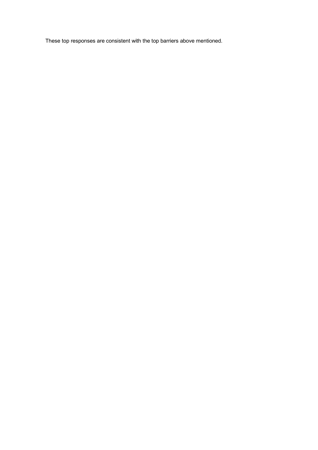These top responses are consistent with the top barriers above mentioned.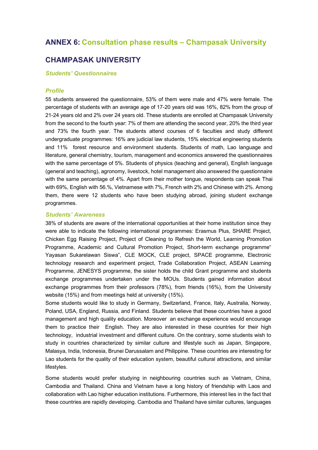## **ANNEX 6: Consultation phase results – Champasak University**

## **CHAMPASAK UNIVERSITY**

*Students' Questionnaires*

#### *Profile*

55 students answered the questionnaire, 53% of them were male and 47% were female. The percentage of students with an average age of 17-20 years old was 16%, 82% from the group of 21-24 years old and 2% over 24 years old. These students are enrolled at Champasak University from the second to the fourth year: 7% of them are attending the second year, 20% the third year and 73% the fourth year. The students attend courses of 6 faculties and study different undergraduate programmes: 16% are judicial law students, 15% electrical engineering students and 11% forest resource and environment students. Students of math, Lao language and literature, general chemistry, tourism, management and economics answered the questionnaires with the same percentage of 5%. Students of physics (teaching and general), English language (general and teaching), agronomy, livestock, hotel management also answered the questionnaire with the same percentage of 4%. Apart from their mother tongue, respondents can speak Thai with 69%, English with 56.%, Vietnamese with 7%, French with 2% and Chinese with 2%. Among them, there were 12 students who have been studying abroad, joining student exchange programmes.

#### *Students' Awareness*

38% of students are aware of the international opportunities at their home institution since they were able to indicate the following international programmes: Erasmus Plus, SHARE Project, Chicken Egg Raising Project, Project of Cleaning to Refresh the World, Learning Promotion Programme, Academic and Cultural Promotion Project, Short-term exchange programme" Yayasan Sukarelawan Siswa", CLE MOCK, CLE project, SPACE programme, Electronic technology research and experiment project, Trade Collaboration Project, ASEAN Learning Programme, JENESYS programme, the sister holds the child Grant programme and students exchange programmes undertaken under the MOUs. Students gained information about exchange programmes from their professors (78%), from friends (16%), from the University website (15%) and from meetings held at university (15%).

Some students would like to study in Germany, Switzerland, France, Italy, Australia, Norway, Poland, USA, England, Russia, and Finland. Students believe that these countries have a good management and high quality education. Moreover an exchange experience would encourage them to practice their English. They are also interested in these countries for their high technology, industrial investment and different culture. On the contrary, some students wish to study in countries characterized by similar culture and lifestyle such as Japan, Singapore, Malasya, India, Indonesia, Brunei Darussalam and Philippine. These countries are interesting for Lao students for the quality of their education system, beautiful cultural attractions, and similar lifestyles.

Some students would prefer studying in neighbouring countries such as Vietnam, China, Cambodia and Thailand. China and Vietnam have a long history of friendship with Laos and collaboration with Lao higher education institutions. Furthermore, this interest lies in the fact that these countries are rapidly developing. Cambodia and Thailand have similar cultures, languages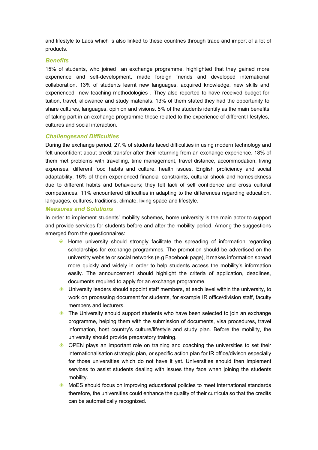and lifestyle to Laos which is also linked to these countries through trade and import of a lot of products.

#### *Benefits*

15% of students, who joined an exchange programme, highlighted that they gained more experience and self-development, made foreign friends and developed international collaboration. 13% of students learnt new languages, acquired knowledge, new skills and experienced new teaching methodologies . They also reported to have received budget for tuition, travel, allowance and study materials. 13% of them stated they had the opportunity to share cultures, languages, opinion and visions. 5% of the students identify as the main benefits of taking part in an exchange programme those related to the experience of different lifestyles, cultures and social interaction.

#### *Challengesand Difficulties*

During the exchange period, 27.% of students faced difficulties in using modern technology and felt unconfident about credit transfer after their returning from an exchange experience. 18% of them met problems with travelling, time management, travel distance, accommodation, living expenses, different food habits and culture, health issues, English proficiency and social adaptability. 16% of them experienced financial constraints, cultural shock and homesickness due to different habits and behaviours; they felt lack of self confidence and cross cultural competences. 11% encountered difficulties in adapting to the differences regarding education, languages, cultures, traditions, climate, living space and lifestyle.

#### *Measures and Solutions*

In order to implement students' mobility schemes, home university is the main actor to support and provide services for students before and after the mobility period. Among the suggestions emerged from the questionnaires:

- $\diamondsuit$  Home university should strongly facilitate the spreading of information regarding scholarships for exchange programmes. The promotion should be advertised on the university website or social networks (e.g Facebook page), it makes information spread more quickly and widely in order to help students access the mobility's information easily. The announcement should highlight the criteria of application, deadlines, documents required to apply for an exchange programme.
- $\Diamond$  University leaders should appoint staff members, at each level within the university, to work on processing document for students, for example IR office/division staff, faculty members and lecturers.
- $\diamondsuit$  The University should support students who have been selected to join an exchange programme, helping them with the submission of documents, visa procedures, travel information, host country's culture/lifestyle and study plan. Before the mobility, the university should provide preparatory training.
- $\Diamond$  OPEN plays an important role on training and coaching the universities to set their internationalisation strategic plan, or specific action plan for IR office/divison especially for those universities which do not have it yet. Universities should then implement services to assist students dealing with issues they face when joining the students mobility.
- $\Diamond$  MoES should focus on improving educational policies to meet international standards therefore, the universities could enhance the quality of their curricula so that the credits can be automatically recognized.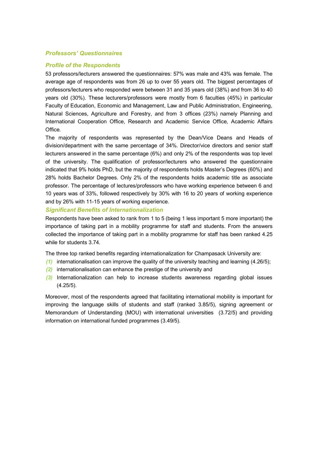## *Professors' Questionnaires*

#### *Profile of the Respondents*

53 professors/lecturers answered the questionnaires: 57% was male and 43% was female. The average age of respondents was from 26 up to over 55 years old. The biggest percentages of professors/lecturers who responded were between 31 and 35 years old (38%) and from 36 to 40 years old (30%). These lecturers/professors were mostly from 6 faculties (45%) in particular Faculty of Education, Economic and Management, Law and Public Administration, Engineering, Natural Sciences, Agriculture and Forestry, and from 3 offices (23%) namely Planning and International Cooperation Office, Research and Academic Service Office, Academic Affairs Office.

The majority of respondents was represented by the Dean/Vice Deans and Heads of division/department with the same percentage of 34%. Director/vice directors and senior staff lecturers answered in the same percentage (6%) and only 2% of the respondents was top level of the university. The qualification of professor/lecturers who answered the questionnaire indicated that 9% holds PhD, but the majority of respondents holds Master's Degrees (60%) and 28% holds Bachelor Degrees. Only 2% of the respondents holds academic title as associate professor. The percentage of lectures/professors who have working experience between 6 and 10 years was of 33%, followed respectively by 30% with 16 to 20 years of working experience and by 26% with 11-15 years of working experience.

### *Significant Benefits of Internationalization*

Respondents have been asked to rank from 1 to 5 (being 1 less important 5 more important) the importance of taking part in a mobility programme for staff and students. From the answers collected the importance of taking part in a mobility programme for staff has been ranked 4.25 while for students 3.74.

The three top ranked benefits regarding internationalization for Champasack University are:

- *(1)* internationalisation can improve the quality of the university teaching and learning (4.26/5);
- *(2)* internationalisation can enhance the prestige of the university and
- *(3)* Internationalization can help to increase students awareness regarding global issues (4.25/5).

Moreover, most of the respondents agreed that facilitating international mobility is important for improving the language skills of students and staff (ranked 3.85/5), signing agreement or Memorandum of Understanding (MOU) with international universities (3.72/5) and providing information on international funded programmes (3.49/5).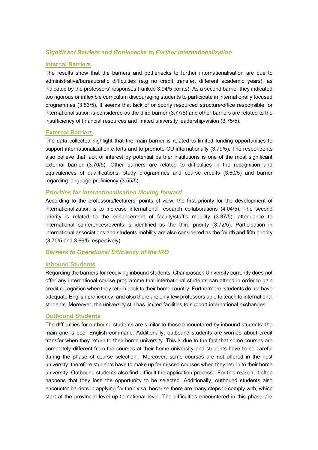## *Significant Barriers and Bottlenecks to Further Internationalization*

#### **Internal Barriers**

The results show that the barriers and bottlenecks to further internationalisation are due to administrative/bureaucratic difficulties (e.g no credit transfer, different academic years), as indicated by the professors' responses (ranked 3.94/5 points). As a second barrier they indicated too rigorous or inflexible curriculum discouraging students to participate in internationally focused programmes (3.83/5). It seems that lack of or poorly resourced structure/office responsible for internationalisation is considered as the third barrier (3.77/5) and other barriers are related to the insufficiency of financial resources and limited university leadership/vision (3.75/5).

#### **External Barriers**

The data collected highlight that the main barrier is related to limited funding opportunities to support internationalization efforts and to promote CU internationally (3.79/5). The respondents also believe that lack of interest by potential partner institutions is one of the most significant external barrier (3.70/5). Other barriers are related to difficulties in the recognition and equivalences of qualifications, study programmes and course credits (3.60/5) and barrier regarding language proficiency (3.55/5).

#### *Priorities for Internationalisation Moving forward*

According to the professors/lecturers' points of view, the first priority for the development of internationalization is to increase international research collaborations (4.04/5). The second priority is related to the enhancement of faculty/staff's mobility (3.87/5); attendance to international conferences/events is identified as the third priority (3.72/5). Participation in international associations and students mobility are also considered as the fourth and fifth priority (3.70/5 and 3.66/5 respectively).

#### *Barriers to Operational Efficiency of the IRO*

#### **Inbound Students**

Regarding the barriers for receiving inbound students, Champasack University currently does not offer any international course programme that international students can attend in order to gain credit recognition when they return back to their home country. Furthermore, students do not have adequate English proficiency, and also there are only few professors able to teach to international students. Moreover, the university still has limited facilities to support international exchanges.

#### **Outbound Students**

The difficulties for outbound students are similar to those encountered by inbound students: the main one is poor English command. Additionally, outbound students are worried about credit transfer when they return to their home university. This is due to the fact that some courses are completely different from the courses at their home university and students have to be careful during the phase of course selection. Moreover, some courses are not offered in the host university, therefore students have to make up for missed courses when they return to their home university. Outbound students also find difficult the application process. For this reason, it often happens that they lose the opportunity to be selected. Additionally, outbound students also encounter barriers in applying for their visa because there are many steps to comply with, which start at the provincial level up to national level. The difficulties encountered in this phase are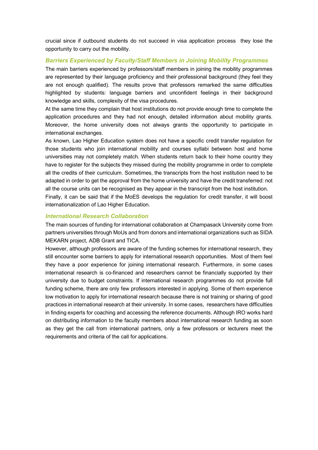crucial since if outbound students do not succeed in visa application process they lose the opportunity to carry out the mobility.

## *Barriers Experienced by Faculty/Staff Members in Joining Mobility Programmes*

The main barriers experienced by professors/staff members in joining the mobility programmes are represented by their language proficiency and their professional background (they feel they are not enough qualified). The results prove that professors remarked the same difficulties highlighted by students: language barriers and unconfident feelings in their background knowledge and skills, complexity of the visa procedures.

At the same time they complain that host institutions do not provide enough time to complete the application procedures and they had not enough, detailed information about mobility grants. Moreover, the home university does not always grants the opportunity to participate in international exchanges.

As known, Lao Higher Education system does not have a specific credit transfer regulation for those students who join international mobility and courses syllabi between host and home universities may not completely match. When students return back to their home country they have to register for the subjects they missed during the mobility programme in order to complete all the credits of their curriculum. Sometimes, the transcripts from the host institution need to be adapted in order to get the approval from the home university and have the credit transferred: not all the course units can be recognised as they appear in the transcript from the host institution. Finally, it can be said that if the MoES develops the regulation for credit transfer, it will boost internationalization of Lao Higher Education.

#### *International Research Collaboration*

The main sources of funding for international collaboration at Champasack University come from partners universities through MoUs and from donors and international organizations such as SIDA MEKARN project, ADB Grant and TICA.

However, although professors are aware of the funding schemes for international research, they still encounter some barriers to apply for international research opportunities. Most of them feel they have a poor experience for joining international research. Furthermore, in some cases international research is co-financed and researchers cannot be financially supported by their university due to budget constraints. If international research programmes do not provide full funding scheme, there are only few professors interested in applying. Some of them experience low motivation to apply for international research because there is not training or sharing of good practices in international research at their university. In some cases, researchers have difficulties in finding experts for coaching and accessing the reference documents. Although IRO works hard on distributing information to the faculty members about international research funding as soon as they get the call from international partners, only a few professors or lecturers meet the requirements and criteria of the call for applications.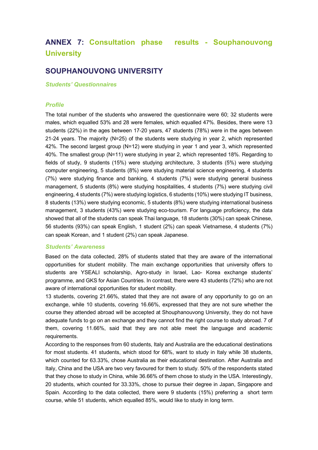# **ANNEX 7: Consultation phase results - Souphanouvong University**

## **SOUPHANOUVONG UNIVERSITY**

*Students' Questionnaires*

#### *Profile*

The total number of the students who answered the questionnaire were 60; 32 students were males, which equalled 53% and 28 were females, which equalled 47%. Besides, there were 13 students (22%) in the ages between 17-20 years, 47 students (78%) were in the ages between 21-24 years. The majority (N=25) of the students were studying in year 2, which represented 42%. The second largest group (N=12) were studying in year 1 and year 3, which represented 40%. The smallest group (N=11) were studying in year 2, which represented 18%. Regarding to fields of study, 9 students (15%) were studying architecture, 3 students (5%) were studying computer engineering, 5 students (8%) were studying material science engineering, 4 students (7%) were studying finance and banking, 4 students (7%) were studying general business management, 5 students (8%) were studying hospitalities, 4 students (7%) were studying civil engineering, 4 students (7%) were studying logistics, 6 students (10%) were studying IT business, 8 students (13%) were studying economic, 5 students (8%) were studying international business management, 3 students (43%) were studying eco-tourism. For language proficiency, the data showed that all of the students can speak Thai language, 18 students (30%) can speak Chinese, 56 students (93%) can speak English, 1 student (2%) can speak Vietnamese, 4 students (7%) can speak Korean, and 1 student (2%) can speak Japanese.

#### *Students' Awareness*

Based on the data collected, 28% of students stated that they are aware of the international opportunities for student mobility. The main exchange opportunities that university offers to students are YSEALI scholarship, Agro-study in Israel, Lao- Korea exchange students' programme, and GKS for Asian Countries. In contrast, there were 43 students (72%) who are not aware of international opportunities for student mobility.

13 students, covering 21.66%, stated that they are not aware of any opportunity to go on an exchange, while 10 students, covering 16.66%, expressed that they are not sure whether the course they attended abroad will be accepted at Shouphanouvong University, they do not have adequate funds to go on an exchange and they cannot find the right course to study abroad. 7 of them, covering 11.66%, said that they are not able meet the language and academic requirements.

According to the responses from 60 students, Italy and Australia are the educational destinations for most students. 41 students, which stood for 68%, want to study in Italy while 38 students, which counted for 63.33%, chose Australia as their educational destination. After Australia and Italy, China and the USA are two very favoured for them to study. 50% of the respondents stated that they chose to study in China, while 36.66% of them chose to study in the USA. Interestingly, 20 students, which counted for 33.33%, chose to pursue their degree in Japan, Singapore and Spain. According to the data collected, there were 9 students (15%) preferring a short term course, while 51 students, which equalled 85%, would like to study in long term.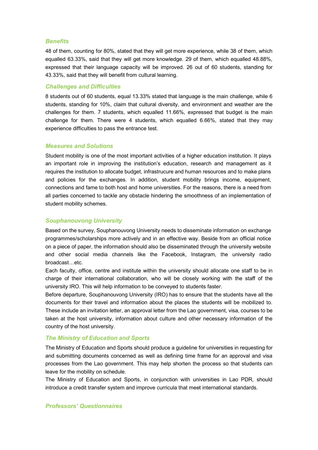#### *Benefits*

48 of them, counting for 80%, stated that they will get more experience, while 38 of them, which equalled 63.33%, said that they will get more knowledge. 29 of them, which equalled 48.88%, expressed that their language capacity will be improved. 26 out of 60 students, standing for 43.33%, said that they will benefit from cultural learning.

#### *Challenges and Difficulties*

8 students out of 60 students, equal 13.33% stated that language is the main challenge, while 6 students, standing for 10%, claim that cultural diversity, and environment and weather are the challenges for them. 7 students, which equalled 11.66%, expressed that budget is the main challenge for them. There were 4 students, which equalled 6.66%, stated that they may experience difficulties to pass the entrance test.

#### *Measures and Solutions*

Student mobility is one of the most important activities of a higher education institution. It plays an important role in improving the institution's education, research and management as it requires the institution to allocate budget, infrastrucure and human resources and to make plans and policies for the exchanges. In addition, student mobility brings income, equipment, connections and fame to both host and home universities. For the reasons, there is a need from all parties concerned to tackle any obstacle hindering the smoothness of an implementation of student mobility schemes.

#### *Souphanouvong University*

Based on the survey, Souphanouvong University needs to disseminate information on exchange programmes/scholarships more actively and in an effective way. Beside from an official notice on a piece of paper, the information should also be disseminated through the university website and other social media channels like the Facebook, Instagram, the university radio broadcast…etc.

Each faculty, office, centre and institute within the university should allocate one staff to be in charge of their international collaboration, who will be closely working with the staff of the university IRO. This will help information to be conveyed to students faster.

Before departure, Souphanouvong University (IRO) has to ensure that the students have all the documents for their travel and information about the places the students will be mobilized to. These include an invitation letter, an approval letter from the Lao government, visa, courses to be taken at the host university, information about culture and other necessary information of the country of the host university.

#### *The Ministry of Education and Sports*

The Ministry of Education and Sports should produce a guideline for universities in requesting for and submitting documents concerned as well as defining time frame for an approval and visa processes from the Lao government. This may help shorten the process so that students can leave for the mobility on schedule.

The Ministry of Education and Sports, in conjunction with universities in Lao PDR, should introduce a credit transfer system and improve curricula that meet international standards.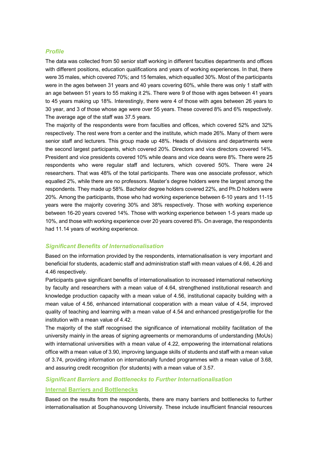#### *Profile*

The data was collected from 50 senior staff working in different faculties departments and offices with different positions, education qualifications and years of working experiences. In that, there were 35 males, which covered 70%; and 15 females, which equalled 30%. Most of the participants were in the ages between 31 years and 40 years covering 60%, while there was only 1 staff with an age between 51 years to 55 making it 2%. There were 9 of those with ages between 41 years to 45 years making up 18%. Interestingly, there were 4 of those with ages between 26 years to 30 year, and 3 of those whose age were over 55 years. These covered 8% and 6% respectively. The average age of the staff was 37.5 years.

The majority of the respondents were from faculties and offices, which covered 52% and 32% respectively. The rest were from a center and the institute, which made 26%. Many of them were senior staff and lecturers. This group made up 48%. Heads of divisions and departments were the second largest participants, which covered 20%. Directors and vice directors covered 14%. President and vice presidents covered 10% while deans and vice deans were 8%. There were 25 respondents who were regular staff and lecturers, which covered 50%. There were 24 researchers. That was 48% of the total participants. There was one associate professor, which equalled 2%, while there are no professors. Master's degree holders were the largest among the respondents. They made up 58%. Bachelor degree holders covered 22%, and Ph.D holders were 20%. Among the participants, those who had working experience between 6-10 years and 11-15 years were the majority covering 30% and 38% respectively. Those with working experience between 16-20 years covered 14%. Those with working experience between 1-5 years made up 10%, and those with working experience over 20 years covered 8%. On average, the respondents had 11.14 years of working experience.

#### *Significant Benefits of Internationalisation*

Based on the information provided by the respondents, internationalisation is very important and beneficial for students, academic staff and administration staff with mean values of 4.66, 4.26 and 4.46 respectively.

Participants gave significant benefits of internationalisation to increased international networking by faculty and researchers with a mean value of 4.64, strengthened institutional research and knowledge production capacity with a mean value of 4.56, institutional capacity building with a mean value of 4.56, enhanced international cooperation with a mean value of 4.54, improved quality of teaching and learning with a mean value of 4.54 and enhanced prestige/profile for the institution with a mean value of 4.42.

The majority of the staff recognised the significance of international mobility facilitation of the university mainly in the areas of signing agreements or memorandums of understanding (MoUs) with international universities with a mean value of 4.22, empowering the international relations office with a mean value of 3.90, improving language skills of students and staff with a mean value of 3.74, providing information on internationally funded programmes with a mean value of 3.68, and assuring credit recognition (for students) with a mean value of 3.57.

#### *Significant Barriers and Bottlenecks to Further Internationalisation*

#### **Internal Barriers and Bottlenecks**

Based on the results from the respondents, there are many barriers and bottlenecks to further internationalisation at Souphanouvong University. These include insufficient financial resources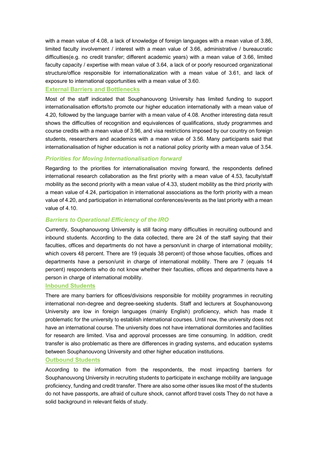with a mean value of 4.08, a lack of knowledge of foreign languages with a mean value of 3.86, limited faculty involvement / interest with a mean value of 3.66, administrative / bureaucratic difficulties(e.g. no credit transfer; different academic years) with a mean value of 3.66, limited faculty capacity / expertise with mean value of 3.64, a lack of or poorly resourced organizational structure/office responsible for internationalization with a mean value of 3.61, and lack of exposure to international opportunities with a mean value of 3.60.

#### **External Barriers and Bottlenecks**

Most of the staff indicated that Souphanouvong University has limited funding to support internationalisation efforts/to promote our higher education internationally with a mean value of 4.20, followed by the language barrier with a mean value of 4.08. Another interesting data result shows the difficulties of recognition and equivalences of qualifications, study programmes and course credits with a mean value of 3.96, and visa restrictions imposed by our country on foreign students, researchers and academics with a mean value of 3.56. Many participants said that internationalisation of higher education is not a national policy priority with a mean value of 3.54.

## *Priorities for Moving Internationalisation forward*

Regarding to the priorities for internationalisation moving forward, the respondents defined international research collaboration as the first priority with a mean value of 4.53, faculty/staff mobility as the second priority with a mean value of 4.33, student mobility as the third priority with a mean value of 4.24, participation in international associations as the forth priority with a mean value of 4.20, and participation in international conferences/events as the last priority with a mean value of 4.10.

## *Barriers to Operational Efficiency of the IRO*

Currently, Souphanouvong University is still facing many difficulties in recruiting outbound and inbound students. According to the data collected, there are 24 of the staff saying that their faculties, offices and departments do not have a person/unit in charge of international mobility; which covers 48 percent. There are 19 (equals 38 percent) of those whose faculties, offices and departments have a person/unit in charge of international mobility. There are 7 (equals 14 percent) respondents who do not know whether their faculties, offices and departments have a person in charge of international mobility.

#### **Inbound Students**

There are many barriers for offices/divisions responsible for mobility programmes in recruiting international non-degree and degree-seeking students. Staff and lecturers at Souphanouvong University are low in foreign languages (mainly English) proficiency, which has made it problematic for the university to establish international courses. Until now, the university does not have an international course. The university does not have international dormitories and facilities for research are limited. Visa and approval processes are time consuming. In addition, credit transfer is also problematic as there are differences in grading systems, and education systems between Souphanouvong University and other higher education institutions.

#### **Outbound Students**

According to the information from the respondents, the most impacting barriers for Souphanouvong University in recruiting students to participate in exchange mobility are language proficiency, funding and credit transfer. There are also some other issues like most of the students do not have passports, are afraid of culture shock, cannot afford travel costs They do not have a solid background in relevant fields of study.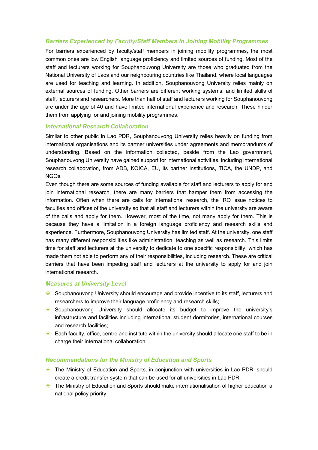## *Barriers Experienced by Faculty/Staff Members in Joining Mobility Programmes*

For barriers experienced by faculty/staff members in joining mobility programmes, the most common ones are low English language proficiency and limited sources of funding. Most of the staff and lecturers working for Souphanouvong University are those who graduated from the National University of Laos and our neighbouring countries like Thailand, where local languages are used for teaching and learning. In addition, Souphanouvong University relies mainly on external sources of funding. Other barriers are different working systems, and limited skills of staff, lecturers and researchers. More than half of staff and lecturers working for Souphanouvong are under the age of 40 and have limited international experience and research. These hinder them from applying for and joining mobility programmes.

#### *International Research Collaboration*

Similar to other public in Lao PDR, Souphanouvong University relies heavily on funding from international organisations and its partner universities under agreements and memorandums of understanding. Based on the information collected, beside from the Lao government, Souphanouvong University have gained support for international activities, including international research collaboration, from ADB, KOICA, EU, its partner institutions, TICA, the UNDP, and NGOs.

Even though there are some sources of funding available for staff and lecturers to apply for and join international research, there are many barriers that hamper them from accessing the information. Often when there are calls for international research, the IRO issue notices to faculties and offices of the university so that all staff and lecturers within the university are aware of the calls and apply for them. However, most of the time, not many apply for them. This is because they have a limitation in a foreign language proficiency and research skills and experience. Furthermore, Souphanouvong University has limited staff. At the university, one staff has many different responsibilities like administration, teaching as well as research. This limits time for staff and lecturers at the university to dedicate to one specific responsibility, which has made them not able to perform any of their responsibilities, including research. These are critical barriers that have been impeding staff and lecturers at the university to apply for and join international research.

#### *Measures at University Level*

- $\diamondsuit$  Souphanouvong University should encourage and provide incentive to its staff, lecturers and researchers to improve their language proficiency and research skills;
- $\diamondsuit$  Souphanouvong University should allocate its budget to improve the university's infrastructure and facilities including international student dormitories, international courses and research facilities;
- $\diamondsuit$  Each faculty, office, centre and institute within the university should allocate one staff to be in charge their international collaboration.

#### *Recommendations for the Ministry of Education and Sports*

- ♦ The Ministry of Education and Sports, in conjunction with universities in Lao PDR, should create a credit transfer system that can be used for all universities in Lao PDR;
- $\Diamond$  The Ministry of Education and Sports should make internationalisation of higher education a national policy priority;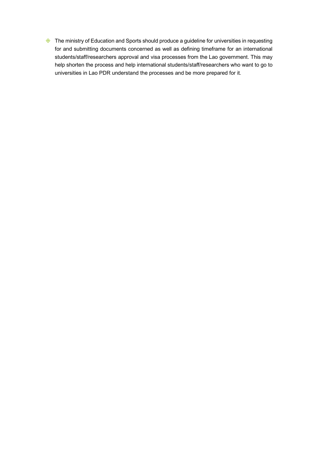♦ The ministry of Education and Sports should produce a guideline for universities in requesting for and submitting documents concerned as well as defining timeframe for an international students/staff/researchers approval and visa processes from the Lao government. This may help shorten the process and help international students/staff/researchers who want to go to universities in Lao PDR understand the processes and be more prepared for it.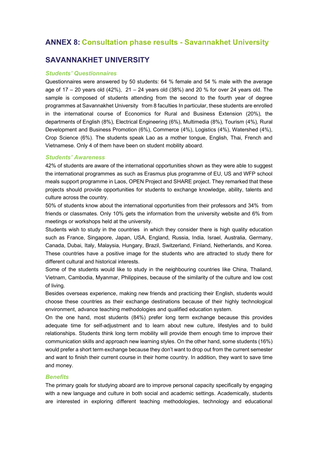## **ANNEX 8: Consultation phase results - Savannakhet University**

## **SAVANNAKHET UNIVERSITY**

#### *Students' Questionnaires*

Questionnaires were answered by 50 students: 64 % female and 54 % male with the average age of 17 – 20 years old (42%), 21 – 24 years old (38%) and 20 % for over 24 years old. The sample is composed of students attending from the second to the fourth year of degree programmes at Savannakhet University from 8 faculties In particular, these students are enrolled in the international course of Economics for Rural and Business Extension (20%), the departments of English (8%), Electrical Engineering (6%), Multimedia (8%), Tourism (4%), Rural Development and Business Promotion (6%), Commerce (4%), Logistics (4%), Watershed (4%), Crop Science (6%). The students speak Lao as a mother tongue, English, Thai, French and Vietnamese. Only 4 of them have been on student mobility aboard.

#### *Students' Awareness*

42% of students are aware of the international opportunities shown as they were able to suggest the international programmes as such as Erasmus plus programme of EU, US and WFP school meals support programme in Laos, OPEN Project and SHARE project. They remarked that these projects should provide opportunities for students to exchange knowledge, ability, talents and culture across the country.

50% of students know about the international opportunities from their professors and 34% from friends or classmates. Only 10% gets the information from the university website and 6% from meetings or workshops held at the university.

Students wish to study in the countries in which they consider there is high quality education such as France, Singapore, Japan, USA, England, Russia, India, Israel, Australia, Germany, Canada, Dubai, Italy, Malaysia, Hungary, Brazil, Switzerland, Finland, Netherlands, and Korea. These countries have a positive image for the students who are attracted to study there for different cultural and historical interests.

Some of the students would like to study in the neighbouring countries like China, Thailand, Vietnam, Cambodia, Myanmar, Philippines, because of the similarity of the culture and low cost of living.

Besides overseas experience, making new friends and practicing their English, students would choose these countries as their exchange destinations because of their highly technological environment, advance teaching methodologies and qualified education system.

On the one hand, most students (84%) prefer long term exchange because this provides adequate time for self-adjustment and to learn about new culture, lifestyles and to build relationships. Students think long term mobility will provide them enough time to improve their communication skills and approach new learning styles. On the other hand, some students (16%) would prefer a short term exchange because they don't want to drop out from the current semester and want to finish their current course in their home country. In addition, they want to save time and money.

## *Benefits*

The primary goals for studying aboard are to improve personal capacity specifically by engaging with a new language and culture in both social and academic settings. Academically, students are interested in exploring different teaching methodologies, technology and educational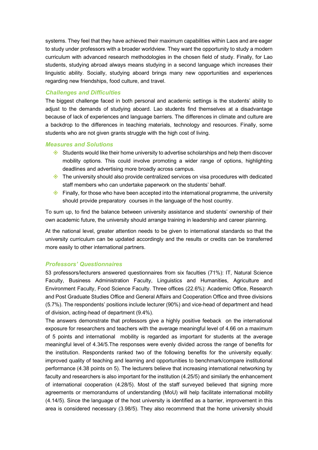systems. They feel that they have achieved their maximum capabilities within Laos and are eager to study under professors with a broader worldview. They want the opportunity to study a modern curriculum with advanced research methodologies in the chosen field of study. Finally, for Lao students, studying abroad always means studying in a second language which increases their linguistic ability. Socially, studying aboard brings many new opportunities and experiences regarding new friendships, food culture, and travel.

## *Challenges and Difficulties*

The biggest challenge faced in both personal and academic settings is the students' ability to adjust to the demands of studying aboard. Lao students find themselves at a disadvantage because of lack of experiences and language barriers. The differences in climate and culture are a backdrop to the differences in teaching materials, technology and resources. Finally, some students who are not given grants struggle with the high cost of living.

#### *Measures and Solutions*

- $\Diamond$  Students would like their home university to advertise scholarships and help them discover mobility options. This could involve promoting a wider range of options, highlighting deadlines and advertising more broadly across campus.
- $\Diamond$  The university should also provide centralized services on visa procedures with dedicated staff members who can undertake paperwork on the students' behalf.
- $\Diamond$  Finally, for those who have been accepted into the international programme, the university should provide preparatory courses in the language of the host country.

To sum up, to find the balance between university assistance and students' ownership of their own academic future, the university should arrange training in leadership and career planning.

At the national level, greater attention needs to be given to international standards so that the university curriculum can be updated accordingly and the results or credits can be transferred more easily to other international partners.

#### *Professors' Questionnaires*

53 professors/lecturers answered questionnaires from six faculties (71%): IT, Natural Science Faculty, Business Administration Faculty, Linguistics and Humanities, Agriculture and Environment Faculty, Food Science Faculty. Three offices (22.6%): Academic Office, Research and Post Graduate Studies Office and General Affairs and Cooperation Office and three divisions (5.7%). The respondents' positions include lecturer (90%) and vice-head of department and head of division, acting-head of department (9.4%).

The answers demonstrate that professors give a highly positive feeback on the international exposure for researchers and teachers with the average meaningful level of 4.66 on a maximum of 5 points and international mobility is regarded as important for students at the average meaningful level of 4.34/5.The responses were evenly divided across the range of benefits for the institution. Respondents ranked two of the following benefits for the university equally: improved quality of teaching and learning and opportunities to benchmark/compare institutional performance (4.38 points on 5). The lecturers believe that increasing international networking by faculty and researchers is also important for the institution (4.25/5) and similarly the enhancement of international cooperation (4.28/5). Most of the staff surveyed believed that signing more agreements or memorandums of understanding (MoU) will help facilitate international mobility (4.14/5). Since the language of the host university is identified as a barrier, improvement in this area is considered necessary (3.98/5). They also recommend that the home university should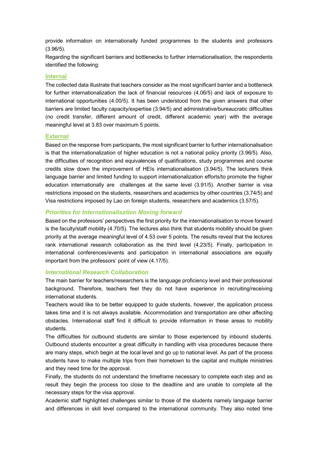provide information on internationally funded programmes to the students and professors (3.96/5).

Regarding the significant barriers and bottlenecks to further internationalisation, the respondents identified the following:

#### **Internal**

The collected data illustrate that teachers consider as the most significant barrier and a bottleneck for further internationalization the lack of financial resources (4.06/5) and lack of exposure to international opportunities (4.00/5). It has been understood from the given answers that other barriers are limited faculty capacity/expertise (3.94/5) and administrative/bureaucratic difficulties (no credit transfer, different amount of credit, different academic year) with the average meaningful level at 3.83 over maximum 5 points.

#### **External**

Based on the response from participants, the most significant barrier to further internationalisation is that the internationalization of higher education is not a national policy priority (3.96/5). Also, the difficulties of recognition and equivalences of qualifications, study programmes and course credits slow down the improvement of HEIs internationalisation (3.94/5). The lecturers think language barrier and limited funding to support internationalization efforts/to promote the higher education internationally are challenges at the same level (3.91/5). Another barrier is visa restrictions imposed on the students, researchers and academics by other countries (3.74/5) and Visa restrictions imposed by Lao on foreign students, researchers and academics (3.57/5).

### *Priorities for Internationalisation Moving forward*

Based on the professors' perspectives the first priority for the internationalisation to move forward is the faculty/staff mobility (4.70/5). The lectures also think that students mobility should be given priority at the average meaningful level of 4.53 over 5 points. The results reveal that the lectures rank international research collaboration as the third level (4.23/5). Finally, participation in international conferences/events and participation in international associations are equally important from the professors' point of view (4.17/5).

#### *International Research Collaboration*

The main barrier for teachers/researchers is the language proficiency level and their professional background. Therefore, teachers feel they do not have experience in recruiting/receiving international students.

Teachers would like to be better equipped to guide students, however, the application process takes time and it is not always available. Accommodation and transportation are other affecting obstacles. International staff find it difficult to provide information in these areas to mobility students.

The difficulties for outbound students are similar to those experienced by inbound students. Outbound students encounter a great difficulty in handling with visa procedures because there are many steps, which begin at the local level and go up to national level. As part of the process students have to make multiple trips from their hometown to the capital and multiple ministries and they need time for the approval.

Finally, the students do not understand the timeframe necessary to complete each step and as result they begin the process too close to the deadline and are unable to complete all the necessary steps for the visa approval.

Academic staff highlighted challenges similar to those of the students namely language barrier and differences in skill level compared to the international community. They also noted time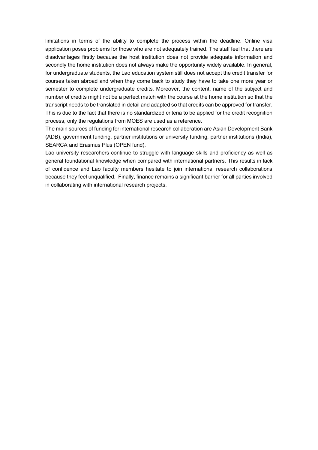limitations in terms of the ability to complete the process within the deadline. Online visa application poses problems for those who are not adequately trained. The staff feel that there are disadvantages firstly because the host institution does not provide adequate information and secondly the home institution does not always make the opportunity widely available. In general, for undergraduate students, the Lao education system still does not accept the credit transfer for courses taken abroad and when they come back to study they have to take one more year or semester to complete undergraduate credits. Moreover, the content, name of the subject and number of credits might not be a perfect match with the course at the home institution so that the transcript needs to be translated in detail and adapted so that credits can be approved for transfer. This is due to the fact that there is no standardized criteria to be applied for the credit recognition process, only the regulations from MOES are used as a reference.

The main sources of funding for international research collaboration are Asian Development Bank (ADB), government funding, partner institutions or university funding, partner institutions (India), SEARCA and Erasmus Plus (OPEN fund).

Lao university researchers continue to struggle with language skills and proficiency as well as general foundational knowledge when compared with international partners. This results in lack of confidence and Lao faculty members hesitate to join international research collaborations because they feel unqualified. Finally, finance remains a significant barrier for all parties involved in collaborating with international research projects.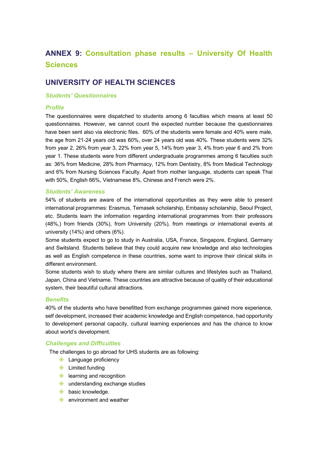# **ANNEX 9: Consultation phase results – University Of Health Sciences**

## **UNIVERSITY OF HEALTH SCIENCES**

#### *Students' Questionnaires*

#### *Profile*

The questionnaires were dispatched to students among 6 faculties which means at least 50 questionnaires. However, we cannot count the expected number because the questionnaires have been sent also via electronic files. 60% of the students were female and 40% were male, the age from 21-24 years old was 60%, over 24 years old was 40%. These students were 32% from year 2, 26% from year 3, 22% from year 5, 14% from year 3, 4% from year 6 and 2% from year 1. These students were from different undergraduate programmes among 6 faculties such as: 36% from Medicine, 28% from Pharmacy, 12% from Dentistry, 8% from Medical Technology and 6% from Nursing Sciences Faculty. Apart from mother language, students can speak Thai with 50%, English 66%, Vietnamese 8%, Chinese and French were 2%.

## *Students' Awareness*

54% of students are aware of the international opportunities as they were able to present international programmes: Erasmus, Temasek scholarship, Embassy scholarship, Seoul Project, etc. Students learn the information regarding international programmes from their professors (48%,) from friends (30%), from University (20%), from meetings or international events at university (14%) and others (6%).

Some students expect to go to study in Australia, USA, France, Singapore, England, Germany and Switsland. Students believe that they could acquire new knowledge and also technologies as well as English competence in these countries, some want to improve their clinical skills in different environment.

Some students wish to study where there are similar cultures and lifestyles such as Thailand, Japan, China and Vietname. These countries are attractive because of quality of their educational system, their beautiful cultural attractions.

#### *Benefits*

40% of the students who have benefitted from exchange programmes gained more experience, self development, increased their academic knowledge and English competence, had opportunity to development personal capacity, cultural learning experiences and has the chance to know about world's development.

#### *Challenges and Difficulties*

The challenges to go abroad for UHS students are as following:

- $\triangle$  Language proficiency
- $\diamondsuit$  Limited funding
- $\diamondsuit$  learning and recognition
- $\Diamond$  understanding exchange studies
- $\diamondsuit$  basic knowledge.
- $\Diamond$  environment and weather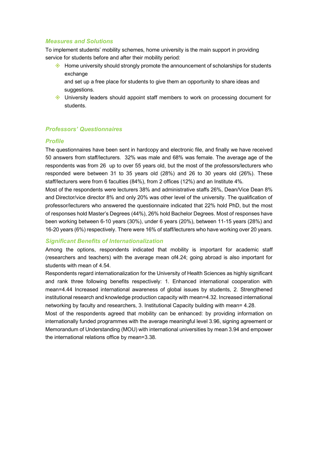#### *Measures and Solutions*

To implement students' mobility schemes, home university is the main support in providing service for students before and after their mobility period:

 $\diamondsuit$  Home university should strongly promote the announcement of scholarships for students exchange

and set up a free place for students to give them an opportunity to share ideas and suggestions.

 $\Diamond$  University leaders should appoint staff members to work on processing document for students.

#### *Professors' Questionnaires*

#### *Profile*

The questionnaires have been sent in hardcopy and electronic file, and finally we have received 50 answers from staff/lecturers. 32% was male and 68% was female. The average age of the respondents was from 26 up to over 55 years old, but the most of the professors/lecturers who responded were between 31 to 35 years old (28%) and 26 to 30 years old (26%). These staff/lecturers were from 6 faculties (84%), from 2 offices (12%) and an Institute 4%.

Most of the respondents were lecturers 38% and administrative staffs 26%, Dean/Vice Dean 8% and Director/vice director 8% and only 20% was other level of the university. The qualification of professor/lecturers who answered the questionnaire indicated that 22% hold PhD, but the most of responses hold Master's Degrees (44%), 26% hold Bachelor Degrees. Most of responses have been working between 6-10 years (30%), under 6 years (20%), between 11-15 years (28%) and 16-20 years (6%) respectively. There were 16% of staff/lecturers who have working over 20 years.

#### *Significant Benefits of Internationalization*

Among the options, respondents indicated that mobility is important for academic staff (researchers and teachers) with the average mean of4.24; going abroad is also important for students with mean of 4.54.

Respondents regard internationalization for the University of Health Sciences as highly significant and rank three following benefits respectively: 1. Enhanced international cooperation with mean=4.44 Increased international awareness of global issues by students, 2. Strengthened institutional research and knowledge production capacity with mean=4.32. Increased international networking by faculty and researchers, 3. Institutional Capacity building with mean= 4.28.

Most of the respondents agreed that mobility can be enhanced: by providing information on internationally funded programmes with the average meaningful level 3.96, signing agreement or Memorandum of Understanding (MOU) with international universities by mean 3.94 and empower the international relations office by mean=3.38.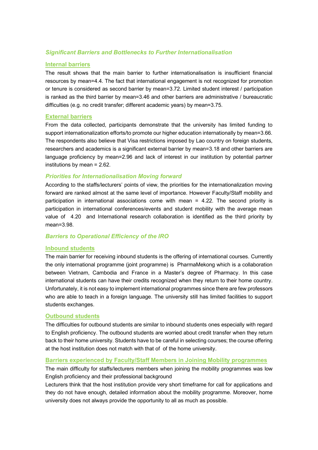## *Significant Barriers and Bottlenecks to Further Internationalisation*

#### **Internal barriers**

The result shows that the main barrier to further internationalisation is insufficient financial resources by mean=4.4. The fact that international engagement is not recognized for promotion or tenure is considered as second barrier by mean=3.72. Limited student interest / participation is ranked as the third barrier by mean=3.46 and other barriers are administrative / bureaucratic difficulties (e.g. no credit transfer; different academic years) by mean=3.75.

#### **External barriers**

From the data collected, participants demonstrate that the university has limited funding to support internationalization efforts/to promote our higher education internationally by mean=3.66. The respondents also believe that Visa restrictions imposed by Lao country on foreign students, researchers and academics is a significant external barrier by mean=3.18 and other barriers are language proficiency by mean=2.96 and lack of interest in our institution by potential partner institutions by mean = 2.62.

#### *Priorities for Internationalisation Moving forward*

According to the staffs/lecturers' points of view, the priorities for the internationalization moving forward are ranked almost at the same level of importance. However Faculty/Staff mobility and participation in international associations come with mean = 4.22. The second priority is participation in international conferences/events and student mobility with the average mean value of 4.20 and International research collaboration is identified as the third priority by mean=3.98.

#### *Barriers to Operational Efficiency of the IRO*

#### **Inbound students**

The main barrier for receiving inbound students is the offering of international courses. Currently the only international programme (joint programme) is PharmaMekong which is a collaboration between Vietnam, Cambodia and France in a Master's degree of Pharmacy. In this case international students can have their credits recognized when they return to their home country. Unfortunately, it is not easy to implement international programmes since there are few professors who are able to teach in a foreign language. The university still has limited facilities to support students exchanges.

#### **Outbound students**

The difficulties for outbound students are similar to inbound students ones especially with regard to English proficiency. The outbound students are worried about credit transfer when they return back to their home university. Students have to be careful in selecting courses; the course offering at the host institution does not match with that of of the home university.

#### **Barriers experienced by Faculty/Staff Members in Joining Mobility programmes**

The main difficulty for staffs/lecturers members when joining the mobility programmes was low English proficiency and their professional background

Lecturers think that the host institution provide very short timeframe for call for applications and they do not have enough, detailed information about the mobility programme. Moreover, home university does not always provide the opportunity to all as much as possible.